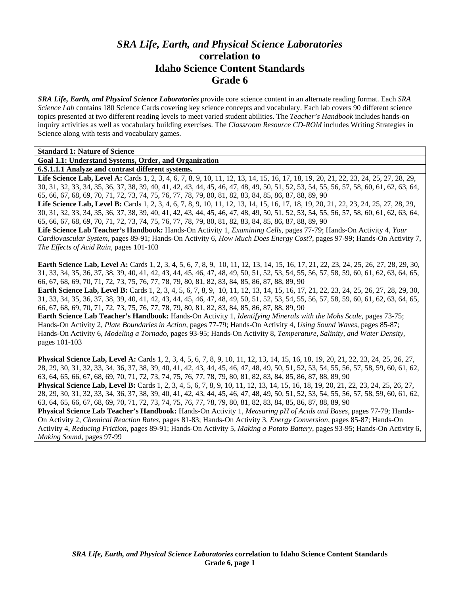# *SRA Life, Earth, and Physical Science Laboratories*  **correlation to Idaho Science Content Standards Grade 6**

*SRA Life, Earth, and Physical Science Laboratories* provide core science content in an alternate reading format. Each *SRA Science Lab* contains 180 Science Cards covering key science concepts and vocabulary. Each lab covers 90 different science topics presented at two different reading levels to meet varied student abilities. The *Teacher's Handbook* includes hands-on inquiry activities as well as vocabulary building exercises. The *Classroom Resource CD-ROM* includes Writing Strategies in Science along with tests and vocabulary games.

| <b>Standard 1: Nature of Science</b>                                                                                                        |
|---------------------------------------------------------------------------------------------------------------------------------------------|
| Goal 1.1: Understand Systems, Order, and Organization                                                                                       |
| 6.S.1.1.1 Analyze and contrast different systems.                                                                                           |
| Life Science Lab, Level A: Cards 1, 2, 3, 4, 6, 7, 8, 9, 10, 11, 12, 13, 14, 15, 16, 17, 18, 19, 20, 21, 22, 23, 24, 25, 27, 28, 29,        |
| 30, 31, 32, 33, 34, 35, 36, 37, 38, 39, 40, 41, 42, 43, 44, 45, 46, 47, 48, 49, 50, 51, 52, 53, 54, 55, 56, 57, 58, 60, 61, 62, 63, 64,     |
| 65, 66, 67, 68, 69, 70, 71, 72, 73, 74, 75, 76, 77, 78, 79, 80, 81, 82, 83, 84, 85, 86, 87, 88, 89, 90                                      |
| <b>Life Science Lab, Level B:</b> Cards 1, 2, 3, 4, 6, 7, 8, 9, 10, 11, 12, 13, 14, 15, 16, 17, 18, 19, 20, 21, 22, 23, 24, 25, 27, 28, 29, |
| 30, 31, 32, 33, 34, 35, 36, 37, 38, 39, 40, 41, 42, 43, 44, 45, 46, 47, 48, 49, 50, 51, 52, 53, 54, 55, 56, 57, 58, 60, 61, 62, 63, 64,     |
| 65, 66, 67, 68, 69, 70, 71, 72, 73, 74, 75, 76, 77, 78, 79, 80, 81, 82, 83, 84, 85, 86, 87, 88, 89, 90                                      |
| Life Science Lab Teacher's Handbook: Hands-On Activity 1, Examining Cells, pages 77-79; Hands-On Activity 4, Your                           |
| Cardiovascular System, pages 89-91; Hands-On Activity 6, How Much Does Energy Cost?, pages 97-99; Hands-On Activity 7,                      |
| The Effects of Acid Rain, pages 101-103                                                                                                     |
|                                                                                                                                             |
| <b>Earth Science Lab, Level A:</b> Cards 1, 2, 3, 4, 5, 6, 7, 8, 9, 10, 11, 12, 13, 14, 15, 16, 17, 21, 22, 23, 24, 25, 26, 27, 28, 29, 30, |
| 31, 33, 34, 35, 36, 37, 38, 39, 40, 41, 42, 43, 44, 45, 46, 47, 48, 49, 50, 51, 52, 53, 54, 55, 56, 57, 58, 59, 60, 61, 62, 63, 64, 65,     |
| 66, 67, 68, 69, 70, 71, 72, 73, 75, 76, 77, 78, 79, 80, 81, 82, 83, 84, 85, 86, 87, 88, 89, 90                                              |
| <b>Earth Science Lab, Level B:</b> Cards 1, 2, 3, 4, 5, 6, 7, 8, 9, 10, 11, 12, 13, 14, 15, 16, 17, 21, 22, 23, 24, 25, 26, 27, 28, 29, 30, |
| 31, 33, 34, 35, 36, 37, 38, 39, 40, 41, 42, 43, 44, 45, 46, 47, 48, 49, 50, 51, 52, 53, 54, 55, 56, 57, 58, 59, 60, 61, 62, 63, 64, 65,     |

66, 67, 68, 69, 70, 71, 72, 73, 75, 76, 77, 78, 79, 80, 81, 82, 83, 84, 85, 86, 87, 88, 89, 90 **Earth Science Lab Teacher's Handbook:** Hands-On Activity 1, *Identifying Minerals with the Mohs Scale,* pages 73-75; Hands-On Activity 2, *Plate Boundaries in Action,* pages 77-79; Hands-On Activity 4, *Using Sound Waves,* pages 85-87; Hands-On Activity 6, *Modeling a Tornado,* pages 93-95; Hands-On Activity 8, *Temperature, Salinity, and Water Density,* pages 101-103

**Physical Science Lab, Level A:** Cards 1, 2, 3, 4, 5, 6, 7, 8, 9, 10, 11, 12, 13, 14, 15, 16, 18, 19, 20, 21, 22, 23, 24, 25, 26, 27, 28, 29, 30, 31, 32, 33, 34, 36, 37, 38, 39, 40, 41, 42, 43, 44, 45, 46, 47, 48, 49, 50, 51, 52, 53, 54, 55, 56, 57, 58, 59, 60, 61, 62, 63, 64, 65, 66, 67, 68, 69, 70, 71, 72, 73, 74, 75, 76, 77, 78, 79, 80, 81, 82, 83, 84, 85, 86, 87, 88, 89, 90 **Physical Science Lab, Level B:** Cards 1, 2, 3, 4, 5, 6, 7, 8, 9, 10, 11, 12, 13, 14, 15, 16, 18, 19, 20, 21, 22, 23, 24, 25, 26, 27, 28, 29, 30, 31, 32, 33, 34, 36, 37, 38, 39, 40, 41, 42, 43, 44, 45, 46, 47, 48, 49, 50, 51, 52, 53, 54, 55, 56, 57, 58, 59, 60, 61, 62, 63, 64, 65, 66, 67, 68, 69, 70, 71, 72, 73, 74, 75, 76, 77, 78, 79, 80, 81, 82, 83, 84, 85, 86, 87, 88, 89, 90 **Physical Science Lab Teacher's Handbook:** Hands-On Activity 1, *Measuring pH of Acids and Bases,* pages 77-79; Hands-On Activity 2, *Chemical Reaction Rates,* pages 81-83; Hands-On Activity 3, *Energy Conversion,* pages 85-87; Hands-On Activity 4, *Reducing Friction,* pages 89-91; Hands-On Activity 5, *Making a Potato Battery,* pages 93-95; Hands-On Activity 6, *Making Sound,* pages 97-99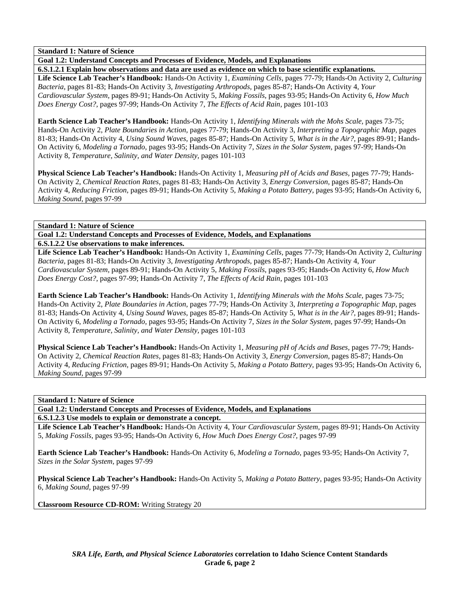**Goal 1.2: Understand Concepts and Processes of Evidence, Models, and Explanations** 

**6.S.1.2.1 Explain how observations and data are used as evidence on which to base scientific explanations. Life Science Lab Teacher's Handbook:** Hands-On Activity 1, *Examining Cells,* pages 77-79; Hands-On Activity 2, *Culturing Bacteria,* pages 81-83; Hands-On Activity 3, *Investigating Arthropods,* pages 85-87; Hands-On Activity 4, *Your Cardiovascular System,* pages 89-91; Hands-On Activity 5, *Making Fossils,* pages 93-95; Hands-On Activity 6, *How Much Does Energy Cost?,* pages 97-99; Hands-On Activity 7, *The Effects of Acid Rain,* pages 101-103

**Earth Science Lab Teacher's Handbook:** Hands-On Activity 1, *Identifying Minerals with the Mohs Scale,* pages 73-75; Hands-On Activity 2, *Plate Boundaries in Action,* pages 77-79; Hands-On Activity 3, *Interpreting a Topographic Map,* pages 81-83; Hands-On Activity 4, *Using Sound Waves,* pages 85-87; Hands-On Activity 5, *What is in the Air?,* pages 89-91; Hands-On Activity 6, *Modeling a Tornado,* pages 93-95; Hands-On Activity 7, *Sizes in the Solar System,* pages 97-99; Hands-On Activity 8, *Temperature, Salinity, and Water Density,* pages 101-103

**Physical Science Lab Teacher's Handbook:** Hands-On Activity 1, *Measuring pH of Acids and Bases,* pages 77-79; Hands-On Activity 2, *Chemical Reaction Rates,* pages 81-83; Hands-On Activity 3, *Energy Conversion,* pages 85-87; Hands-On Activity 4, *Reducing Friction,* pages 89-91; Hands-On Activity 5, *Making a Potato Battery,* pages 93-95; Hands-On Activity 6, *Making Sound,* pages 97-99

**Standard 1: Nature of Science** 

**Goal 1.2: Understand Concepts and Processes of Evidence, Models, and Explanations 6.S.1.2.2 Use observations to make inferences.** 

**Life Science Lab Teacher's Handbook:** Hands-On Activity 1, *Examining Cells,* pages 77-79; Hands-On Activity 2, *Culturing Bacteria,* pages 81-83; Hands-On Activity 3, *Investigating Arthropods,* pages 85-87; Hands-On Activity 4, *Your Cardiovascular System,* pages 89-91; Hands-On Activity 5, *Making Fossils,* pages 93-95; Hands-On Activity 6, *How Much Does Energy Cost?,* pages 97-99; Hands-On Activity 7, *The Effects of Acid Rain,* pages 101-103

**Earth Science Lab Teacher's Handbook:** Hands-On Activity 1, *Identifying Minerals with the Mohs Scale,* pages 73-75; Hands-On Activity 2, *Plate Boundaries in Action,* pages 77-79; Hands-On Activity 3, *Interpreting a Topographic Map,* pages 81-83; Hands-On Activity 4, *Using Sound Waves,* pages 85-87; Hands-On Activity 5, *What is in the Air?,* pages 89-91; Hands-On Activity 6, *Modeling a Tornado,* pages 93-95; Hands-On Activity 7, *Sizes in the Solar System,* pages 97-99; Hands-On Activity 8, *Temperature, Salinity, and Water Density,* pages 101-103

**Physical Science Lab Teacher's Handbook:** Hands-On Activity 1, *Measuring pH of Acids and Bases,* pages 77-79; Hands-On Activity 2, *Chemical Reaction Rates,* pages 81-83; Hands-On Activity 3, *Energy Conversion,* pages 85-87; Hands-On Activity 4, *Reducing Friction,* pages 89-91; Hands-On Activity 5, *Making a Potato Battery,* pages 93-95; Hands-On Activity 6, *Making Sound,* pages 97-99

**Standard 1: Nature of Science** 

**Goal 1.2: Understand Concepts and Processes of Evidence, Models, and Explanations** 

**6.S.1.2.3 Use models to explain or demonstrate a concept.** 

**Life Science Lab Teacher's Handbook:** Hands-On Activity 4, *Your Cardiovascular System,* pages 89-91; Hands-On Activity 5, *Making Fossils,* pages 93-95; Hands-On Activity 6, *How Much Does Energy Cost?,* pages 97-99

**Earth Science Lab Teacher's Handbook:** Hands-On Activity 6, *Modeling a Tornado,* pages 93-95; Hands-On Activity 7, *Sizes in the Solar System,* pages 97-99

**Physical Science Lab Teacher's Handbook:** Hands-On Activity 5, *Making a Potato Battery,* pages 93-95; Hands-On Activity 6, *Making Sound,* pages 97-99

**Classroom Resource CD-ROM:** Writing Strategy 20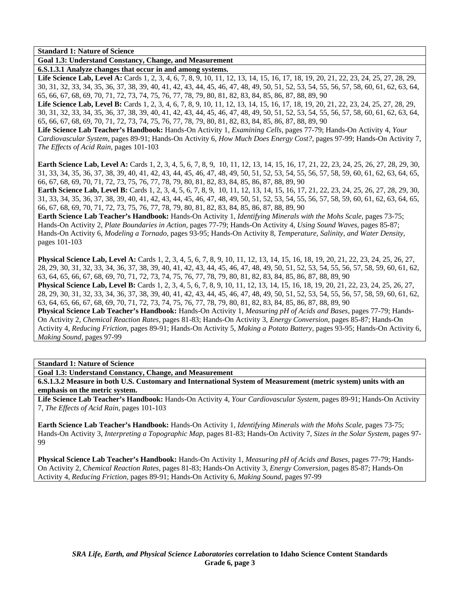**Goal 1.3: Understand Constancy, Change, and Measurement** 

**6.S.1.3.1 Analyze changes that occur in and among systems.**  Life Science Lab, Level A: Cards 1, 2, 3, 4, 6, 7, 8, 9, 10, 11, 12, 13, 14, 15, 16, 17, 18, 19, 20, 21, 22, 23, 24, 25, 27, 28, 29, 30, 31, 32, 33, 34, 35, 36, 37, 38, 39, 40, 41, 42, 43, 44, 45, 46, 47, 48, 49, 50, 51, 52, 53, 54, 55, 56, 57, 58, 60, 61, 62, 63, 64, 65, 66, 67, 68, 69, 70, 71, 72, 73, 74, 75, 76, 77, 78, 79, 80, 81, 82, 83, 84, 85, 86, 87, 88, 89, 90

Life Science Lab, Level B: Cards 1, 2, 3, 4, 6, 7, 8, 9, 10, 11, 12, 13, 14, 15, 16, 17, 18, 19, 20, 21, 22, 23, 24, 25, 27, 28, 29, 30, 31, 32, 33, 34, 35, 36, 37, 38, 39, 40, 41, 42, 43, 44, 45, 46, 47, 48, 49, 50, 51, 52, 53, 54, 55, 56, 57, 58, 60, 61, 62, 63, 64, 65, 66, 67, 68, 69, 70, 71, 72, 73, 74, 75, 76, 77, 78, 79, 80, 81, 82, 83, 84, 85, 86, 87, 88, 89, 90

**Life Science Lab Teacher's Handbook:** Hands-On Activity 1, *Examining Cells,* pages 77-79; Hands-On Activity 4, *Your Cardiovascular System,* pages 89-91; Hands-On Activity 6, *How Much Does Energy Cost?,* pages 97-99; Hands-On Activity 7, *The Effects of Acid Rain,* pages 101-103

**Earth Science Lab, Level A:** Cards 1, 2, 3, 4, 5, 6, 7, 8, 9, 10, 11, 12, 13, 14, 15, 16, 17, 21, 22, 23, 24, 25, 26, 27, 28, 29, 30, 31, 33, 34, 35, 36, 37, 38, 39, 40, 41, 42, 43, 44, 45, 46, 47, 48, 49, 50, 51, 52, 53, 54, 55, 56, 57, 58, 59, 60, 61, 62, 63, 64, 65, 66, 67, 68, 69, 70, 71, 72, 73, 75, 76, 77, 78, 79, 80, 81, 82, 83, 84, 85, 86, 87, 88, 89, 90

**Earth Science Lab, Level B:** Cards 1, 2, 3, 4, 5, 6, 7, 8, 9, 10, 11, 12, 13, 14, 15, 16, 17, 21, 22, 23, 24, 25, 26, 27, 28, 29, 30, 31, 33, 34, 35, 36, 37, 38, 39, 40, 41, 42, 43, 44, 45, 46, 47, 48, 49, 50, 51, 52, 53, 54, 55, 56, 57, 58, 59, 60, 61, 62, 63, 64, 65, 66, 67, 68, 69, 70, 71, 72, 73, 75, 76, 77, 78, 79, 80, 81, 82, 83, 84, 85, 86, 87, 88, 89, 90

**Earth Science Lab Teacher's Handbook:** Hands-On Activity 1, *Identifying Minerals with the Mohs Scale,* pages 73-75; Hands-On Activity 2, *Plate Boundaries in Action,* pages 77-79; Hands-On Activity 4, *Using Sound Waves,* pages 85-87; Hands-On Activity 6, *Modeling a Tornado,* pages 93-95; Hands-On Activity 8, *Temperature, Salinity, and Water Density,* pages 101-103

**Physical Science Lab, Level A:** Cards 1, 2, 3, 4, 5, 6, 7, 8, 9, 10, 11, 12, 13, 14, 15, 16, 18, 19, 20, 21, 22, 23, 24, 25, 26, 27, 28, 29, 30, 31, 32, 33, 34, 36, 37, 38, 39, 40, 41, 42, 43, 44, 45, 46, 47, 48, 49, 50, 51, 52, 53, 54, 55, 56, 57, 58, 59, 60, 61, 62, 63, 64, 65, 66, 67, 68, 69, 70, 71, 72, 73, 74, 75, 76, 77, 78, 79, 80, 81, 82, 83, 84, 85, 86, 87, 88, 89, 90

**Physical Science Lab, Level B:** Cards 1, 2, 3, 4, 5, 6, 7, 8, 9, 10, 11, 12, 13, 14, 15, 16, 18, 19, 20, 21, 22, 23, 24, 25, 26, 27, 28, 29, 30, 31, 32, 33, 34, 36, 37, 38, 39, 40, 41, 42, 43, 44, 45, 46, 47, 48, 49, 50, 51, 52, 53, 54, 55, 56, 57, 58, 59, 60, 61, 62, 63, 64, 65, 66, 67, 68, 69, 70, 71, 72, 73, 74, 75, 76, 77, 78, 79, 80, 81, 82, 83, 84, 85, 86, 87, 88, 89, 90

**Physical Science Lab Teacher's Handbook:** Hands-On Activity 1, *Measuring pH of Acids and Bases,* pages 77-79; Hands-On Activity 2, *Chemical Reaction Rates,* pages 81-83; Hands-On Activity 3, *Energy Conversion,* pages 85-87; Hands-On Activity 4, *Reducing Friction,* pages 89-91; Hands-On Activity 5, *Making a Potato Battery,* pages 93-95; Hands-On Activity 6, *Making Sound,* pages 97-99

**Standard 1: Nature of Science** 

**Goal 1.3: Understand Constancy, Change, and Measurement** 

**6.S.1.3.2 Measure in both U.S. Customary and International System of Measurement (metric system) units with an emphasis on the metric system.** 

**Life Science Lab Teacher's Handbook:** Hands-On Activity 4, *Your Cardiovascular System,* pages 89-91; Hands-On Activity 7, *The Effects of Acid Rain,* pages 101-103

**Earth Science Lab Teacher's Handbook:** Hands-On Activity 1, *Identifying Minerals with the Mohs Scale,* pages 73-75; Hands-On Activity 3, *Interpreting a Topographic Map,* pages 81-83; Hands-On Activity 7, *Sizes in the Solar System,* pages 97- 99

**Physical Science Lab Teacher's Handbook:** Hands-On Activity 1, *Measuring pH of Acids and Bases,* pages 77-79; Hands-On Activity 2, *Chemical Reaction Rates,* pages 81-83; Hands-On Activity 3, *Energy Conversion,* pages 85-87; Hands-On Activity 4, *Reducing Friction,* pages 89-91; Hands-On Activity 6, *Making Sound,* pages 97-99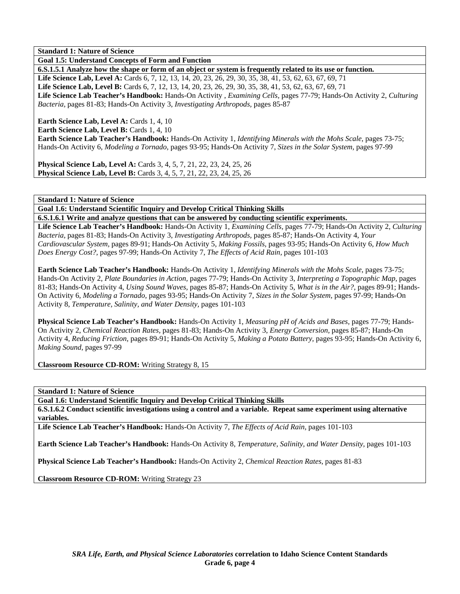**Goal 1.5: Understand Concepts of Form and Function** 

**6.S.1.5.1 Analyze how the shape or form of an object or system is frequently related to its use or function.**  Life Science Lab, Level A: Cards 6, 7, 12, 13, 14, 20, 23, 26, 29, 30, 35, 38, 41, 53, 62, 63, 67, 69, 71 Life Science Lab, Level B: Cards 6, 7, 12, 13, 14, 20, 23, 26, 29, 30, 35, 38, 41, 53, 62, 63, 67, 69, 71 **Life Science Lab Teacher's Handbook:** Hands-On Activity , *Examining Cells,* pages 77-79; Hands-On Activity 2, *Culturing Bacteria,* pages 81-83; Hands-On Activity 3, *Investigating Arthropods,* pages 85-87

**Earth Science Lab, Level A: Cards 1, 4, 10** 

**Earth Science Lab, Level B: Cards 1, 4, 10** 

**Earth Science Lab Teacher's Handbook:** Hands-On Activity 1, *Identifying Minerals with the Mohs Scale,* pages 73-75; Hands-On Activity 6, *Modeling a Tornado,* pages 93-95; Hands-On Activity 7, *Sizes in the Solar System,* pages 97-99

**Physical Science Lab, Level A: Cards 3, 4, 5, 7, 21, 22, 23, 24, 25, 26 Physical Science Lab, Level B:** Cards 3, 4, 5, 7, 21, 22, 23, 24, 25, 26

**Standard 1: Nature of Science** 

**Goal 1.6: Understand Scientific Inquiry and Develop Critical Thinking Skills** 

**6.S.1.6.1 Write and analyze questions that can be answered by conducting scientific experiments.** 

**Life Science Lab Teacher's Handbook:** Hands-On Activity 1, *Examining Cells,* pages 77-79; Hands-On Activity 2, *Culturing Bacteria,* pages 81-83; Hands-On Activity 3, *Investigating Arthropods,* pages 85-87; Hands-On Activity 4, *Your Cardiovascular System,* pages 89-91; Hands-On Activity 5, *Making Fossils,* pages 93-95; Hands-On Activity 6, *How Much Does Energy Cost?,* pages 97-99; Hands-On Activity 7, *The Effects of Acid Rain,* pages 101-103

**Earth Science Lab Teacher's Handbook:** Hands-On Activity 1, *Identifying Minerals with the Mohs Scale,* pages 73-75; Hands-On Activity 2, *Plate Boundaries in Action,* pages 77-79; Hands-On Activity 3, *Interpreting a Topographic Map,* pages 81-83; Hands-On Activity 4, *Using Sound Waves,* pages 85-87; Hands-On Activity 5, *What is in the Air?,* pages 89-91; Hands-On Activity 6, *Modeling a Tornado,* pages 93-95; Hands-On Activity 7, *Sizes in the Solar System,* pages 97-99; Hands-On Activity 8, *Temperature, Salinity, and Water Density,* pages 101-103

**Physical Science Lab Teacher's Handbook:** Hands-On Activity 1, *Measuring pH of Acids and Bases,* pages 77-79; Hands-On Activity 2, *Chemical Reaction Rates,* pages 81-83; Hands-On Activity 3, *Energy Conversion,* pages 85-87; Hands-On Activity 4, *Reducing Friction,* pages 89-91; Hands-On Activity 5, *Making a Potato Battery,* pages 93-95; Hands-On Activity 6, *Making Sound,* pages 97-99

**Classroom Resource CD-ROM:** Writing Strategy 8, 15

**Standard 1: Nature of Science** 

**Goal 1.6: Understand Scientific Inquiry and Develop Critical Thinking Skills** 

**6.S.1.6.2 Conduct scientific investigations using a control and a variable. Repeat same experiment using alternative variables.** 

**Life Science Lab Teacher's Handbook:** Hands-On Activity 7, *The Effects of Acid Rain,* pages 101-103

**Earth Science Lab Teacher's Handbook:** Hands-On Activity 8, *Temperature, Salinity, and Water Density,* pages 101-103

**Physical Science Lab Teacher's Handbook:** Hands-On Activity 2, *Chemical Reaction Rates,* pages 81-83

**Classroom Resource CD-ROM:** Writing Strategy 23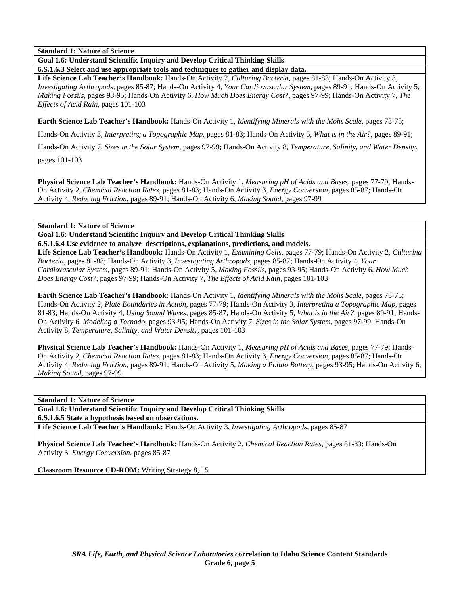**Goal 1.6: Understand Scientific Inquiry and Develop Critical Thinking Skills** 

**6.S.1.6.3 Select and use appropriate tools and techniques to gather and display data.** 

**Life Science Lab Teacher's Handbook:** Hands-On Activity 2, *Culturing Bacteria,* pages 81-83; Hands-On Activity 3, *Investigating Arthropods,* pages 85-87; Hands-On Activity 4, *Your Cardiovascular System,* pages 89-91; Hands-On Activity 5, *Making Fossils,* pages 93-95; Hands-On Activity 6, *How Much Does Energy Cost?,* pages 97-99; Hands-On Activity 7, *The Effects of Acid Rain,* pages 101-103

**Earth Science Lab Teacher's Handbook:** Hands-On Activity 1, *Identifying Minerals with the Mohs Scale,* pages 73-75;

Hands-On Activity 3, *Interpreting a Topographic Map,* pages 81-83; Hands-On Activity 5, *What is in the Air?,* pages 89-91;

Hands-On Activity 7, *Sizes in the Solar System,* pages 97-99; Hands-On Activity 8, *Temperature, Salinity, and Water Density,*

pages 101-103

**Physical Science Lab Teacher's Handbook:** Hands-On Activity 1, *Measuring pH of Acids and Bases,* pages 77-79; Hands-On Activity 2, *Chemical Reaction Rates,* pages 81-83; Hands-On Activity 3, *Energy Conversion,* pages 85-87; Hands-On Activity 4, *Reducing Friction,* pages 89-91; Hands-On Activity 6, *Making Sound,* pages 97-99

# **Standard 1: Nature of Science**

**Goal 1.6: Understand Scientific Inquiry and Develop Critical Thinking Skills** 

**6.S.1.6.4 Use evidence to analyze descriptions, explanations, predictions, and models.** 

**Life Science Lab Teacher's Handbook:** Hands-On Activity 1, *Examining Cells,* pages 77-79; Hands-On Activity 2, *Culturing Bacteria,* pages 81-83; Hands-On Activity 3, *Investigating Arthropods,* pages 85-87; Hands-On Activity 4, *Your Cardiovascular System,* pages 89-91; Hands-On Activity 5, *Making Fossils,* pages 93-95; Hands-On Activity 6, *How Much Does Energy Cost?,* pages 97-99; Hands-On Activity 7, *The Effects of Acid Rain,* pages 101-103

**Earth Science Lab Teacher's Handbook:** Hands-On Activity 1, *Identifying Minerals with the Mohs Scale,* pages 73-75; Hands-On Activity 2, *Plate Boundaries in Action,* pages 77-79; Hands-On Activity 3, *Interpreting a Topographic Map,* pages 81-83; Hands-On Activity 4, *Using Sound Waves,* pages 85-87; Hands-On Activity 5, *What is in the Air?,* pages 89-91; Hands-On Activity 6, *Modeling a Tornado,* pages 93-95; Hands-On Activity 7, *Sizes in the Solar System,* pages 97-99; Hands-On Activity 8, *Temperature, Salinity, and Water Density,* pages 101-103

**Physical Science Lab Teacher's Handbook:** Hands-On Activity 1, *Measuring pH of Acids and Bases,* pages 77-79; Hands-On Activity 2, *Chemical Reaction Rates,* pages 81-83; Hands-On Activity 3, *Energy Conversion,* pages 85-87; Hands-On Activity 4, *Reducing Friction,* pages 89-91; Hands-On Activity 5, *Making a Potato Battery,* pages 93-95; Hands-On Activity 6, *Making Sound,* pages 97-99

**Standard 1: Nature of Science** 

**Goal 1.6: Understand Scientific Inquiry and Develop Critical Thinking Skills** 

**6.S.1.6.5 State a hypothesis based on observations.** 

**Life Science Lab Teacher's Handbook:** Hands-On Activity 3, *Investigating Arthropods,* pages 85-87

**Physical Science Lab Teacher's Handbook:** Hands-On Activity 2, *Chemical Reaction Rates,* pages 81-83; Hands-On Activity 3, *Energy Conversion,* pages 85-87

**Classroom Resource CD-ROM:** Writing Strategy 8, 15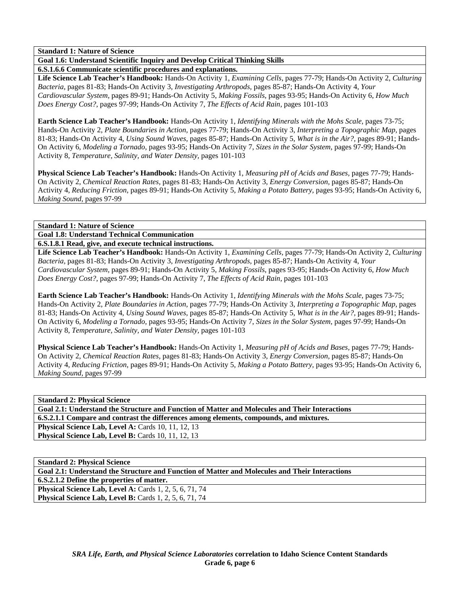**Goal 1.6: Understand Scientific Inquiry and Develop Critical Thinking Skills** 

**6.S.1.6.6 Communicate scientific procedures and explanations.** 

**Life Science Lab Teacher's Handbook:** Hands-On Activity 1, *Examining Cells,* pages 77-79; Hands-On Activity 2, *Culturing Bacteria,* pages 81-83; Hands-On Activity 3, *Investigating Arthropods,* pages 85-87; Hands-On Activity 4, *Your Cardiovascular System,* pages 89-91; Hands-On Activity 5, *Making Fossils,* pages 93-95; Hands-On Activity 6, *How Much Does Energy Cost?,* pages 97-99; Hands-On Activity 7, *The Effects of Acid Rain,* pages 101-103

**Earth Science Lab Teacher's Handbook:** Hands-On Activity 1, *Identifying Minerals with the Mohs Scale,* pages 73-75; Hands-On Activity 2, *Plate Boundaries in Action,* pages 77-79; Hands-On Activity 3, *Interpreting a Topographic Map,* pages 81-83; Hands-On Activity 4, *Using Sound Waves,* pages 85-87; Hands-On Activity 5, *What is in the Air?,* pages 89-91; Hands-On Activity 6, *Modeling a Tornado,* pages 93-95; Hands-On Activity 7, *Sizes in the Solar System,* pages 97-99; Hands-On Activity 8, *Temperature, Salinity, and Water Density,* pages 101-103

**Physical Science Lab Teacher's Handbook:** Hands-On Activity 1, *Measuring pH of Acids and Bases,* pages 77-79; Hands-On Activity 2, *Chemical Reaction Rates,* pages 81-83; Hands-On Activity 3, *Energy Conversion,* pages 85-87; Hands-On Activity 4, *Reducing Friction,* pages 89-91; Hands-On Activity 5, *Making a Potato Battery,* pages 93-95; Hands-On Activity 6, *Making Sound,* pages 97-99

**Standard 1: Nature of Science** 

**Goal 1.8: Understand Technical Communication** 

**6.S.1.8.1 Read, give, and execute technical instructions.** 

**Life Science Lab Teacher's Handbook:** Hands-On Activity 1, *Examining Cells,* pages 77-79; Hands-On Activity 2, *Culturing Bacteria,* pages 81-83; Hands-On Activity 3, *Investigating Arthropods,* pages 85-87; Hands-On Activity 4, *Your Cardiovascular System,* pages 89-91; Hands-On Activity 5, *Making Fossils,* pages 93-95; Hands-On Activity 6, *How Much Does Energy Cost?,* pages 97-99; Hands-On Activity 7, *The Effects of Acid Rain,* pages 101-103

**Earth Science Lab Teacher's Handbook:** Hands-On Activity 1, *Identifying Minerals with the Mohs Scale,* pages 73-75; Hands-On Activity 2, *Plate Boundaries in Action,* pages 77-79; Hands-On Activity 3, *Interpreting a Topographic Map,* pages 81-83; Hands-On Activity 4, *Using Sound Waves,* pages 85-87; Hands-On Activity 5, *What is in the Air?,* pages 89-91; Hands-On Activity 6, *Modeling a Tornado,* pages 93-95; Hands-On Activity 7, *Sizes in the Solar System,* pages 97-99; Hands-On Activity 8, *Temperature, Salinity, and Water Density,* pages 101-103

**Physical Science Lab Teacher's Handbook:** Hands-On Activity 1, *Measuring pH of Acids and Bases,* pages 77-79; Hands-On Activity 2, *Chemical Reaction Rates,* pages 81-83; Hands-On Activity 3, *Energy Conversion,* pages 85-87; Hands-On Activity 4, *Reducing Friction,* pages 89-91; Hands-On Activity 5, *Making a Potato Battery,* pages 93-95; Hands-On Activity 6, *Making Sound,* pages 97-99

**Standard 2: Physical Science Goal 2.1: Understand the Structure and Function of Matter and Molecules and Their Interactions 6.S.2.1.1 Compare and contrast the differences among elements, compounds, and mixtures. Physical Science Lab, Level A: Cards 10, 11, 12, 13 Physical Science Lab, Level B:** Cards 10, 11, 12, 13

**Standard 2: Physical Science Goal 2.1: Understand the Structure and Function of Matter and Molecules and Their Interactions 6.S.2.1.2 Define the properties of matter. Physical Science Lab, Level A: Cards 1, 2, 5, 6, 71, 74 Physical Science Lab, Level B:** Cards 1, 2, 5, 6, 71, 74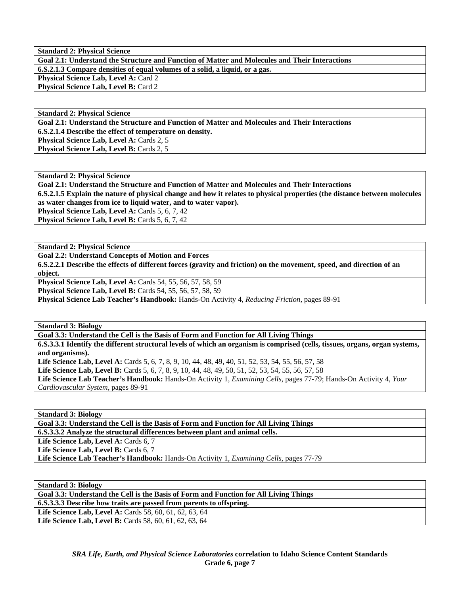**Standard 2: Physical Science Goal 2.1: Understand the Structure and Function of Matter and Molecules and Their Interactions 6.S.2.1.3 Compare densities of equal volumes of a solid, a liquid, or a gas. Physical Science Lab, Level A: Card 2** Physical Science Lab, Level B: Card 2

**Standard 2: Physical Science Goal 2.1: Understand the Structure and Function of Matter and Molecules and Their Interactions 6.S.2.1.4 Describe the effect of temperature on density.**  Physical Science Lab, Level A: Cards 2, 5 **Physical Science Lab, Level B: Cards 2, 5** 

**Standard 2: Physical Science Goal 2.1: Understand the Structure and Function of Matter and Molecules and Their Interactions 6.S.2.1.5 Explain the nature of physical change and how it relates to physical properties (the distance between molecules as water changes from ice to liquid water, and to water vapor).** 

Physical Science Lab, Level A: Cards 5, 6, 7, 42 **Physical Science Lab, Level B: Cards 5, 6, 7, 42** 

**Standard 2: Physical Science** 

**Goal 2.2: Understand Concepts of Motion and Forces** 

**6.S.2.2.1 Describe the effects of different forces (gravity and friction) on the movement, speed, and direction of an object.** 

**Physical Science Lab, Level A:** Cards 54, 55, 56, 57, 58, 59

**Physical Science Lab, Level B:** Cards 54, 55, 56, 57, 58, 59

**Physical Science Lab Teacher's Handbook:** Hands-On Activity 4, *Reducing Friction,* pages 89-91

**Standard 3: Biology** 

**Goal 3.3: Understand the Cell is the Basis of Form and Function for All Living Things 6.S.3.3.1 Identify the different structural levels of which an organism is comprised (cells, tissues, organs, organ systems, and organisms). Life Science Lab, Level A:** Cards 5, 6, 7, 8, 9, 10, 44, 48, 49, 40, 51, 52, 53, 54, 55, 56, 57, 58

**Life Science Lab, Level B:** Cards 5, 6, 7, 8, 9, 10, 44, 48, 49, 50, 51, 52, 53, 54, 55, 56, 57, 58

**Life Science Lab Teacher's Handbook:** Hands-On Activity 1, *Examining Cells,* pages 77-79; Hands-On Activity 4, *Your Cardiovascular System,* pages 89-91

**Standard 3: Biology** 

**Goal 3.3: Understand the Cell is the Basis of Form and Function for All Living Things** 

**6.S.3.3.2 Analyze the structural differences between plant and animal cells.** 

Life Science Lab, Level A: Cards 6, 7

Life Science Lab, Level B: Cards 6, 7

**Life Science Lab Teacher's Handbook:** Hands-On Activity 1, *Examining Cells,* pages 77-79

**Standard 3: Biology** 

**Goal 3.3: Understand the Cell is the Basis of Form and Function for All Living Things** 

**6.S.3.3.3 Describe how traits are passed from parents to offspring.** 

**Life Science Lab, Level A:** Cards 58, 60, 61, 62, 63, 64 Life Science Lab, Level B: Cards 58, 60, 61, 62, 63, 64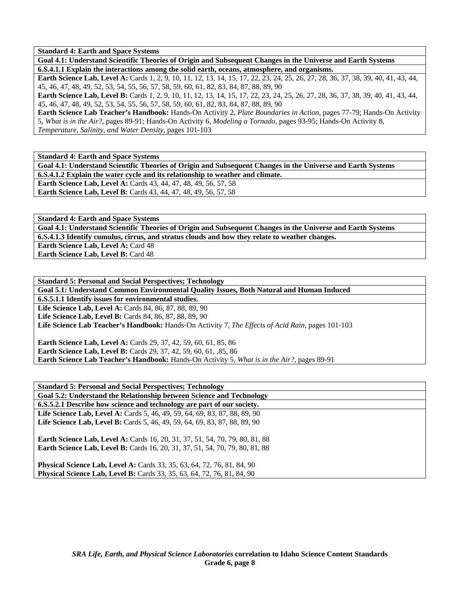**Standard 4: Earth and Space Systems** 

**Goal 4.1: Understand Scientific Theories of Origin and Subsequent Changes in the Universe and Earth Systems 6.S.4.1.1 Explain the interactions among the solid earth, oceans, atmosphere, and organisms.** 

**Earth Science Lab, Level A:** Cards 1, 2, 9, 10, 11, 12, 13, 14, 15, 17, 22, 23, 24, 25, 26, 27, 28, 36, 37, 38, 39, 40, 41, 43, 44, 45, 46, 47, 48, 49, 52, 53, 54, 55, 56, 57, 58, 59, 60, 61, 82, 83, 84, 87, 88, 89, 90

**Earth Science Lab, Level B:** Cards 1, 2, 9, 10, 11, 12, 13, 14, 15, 17, 22, 23, 24, 25, 26, 27, 28, 36, 37, 38, 39, 40, 41, 43, 44, 45, 46, 47, 48, 49, 52, 53, 54, 55, 56, 57, 58, 59, 60, 61, 82, 83, 84, 87, 88, 89, 90

**Earth Science Lab Teacher's Handbook:** Hands-On Activity 2, *Plate Boundaries in Action,* pages 77-79; Hands-On Activity 5, *What is in the Air?,* pages 89-91; Hands-On Activity 6, *Modeling a Tornado,* pages 93-95; Hands-On Activity 8, *Temperature, Salinity, and Water Density,* pages 101-103

**Standard 4: Earth and Space Systems** 

**Goal 4.1: Understand Scientific Theories of Origin and Subsequent Changes in the Universe and Earth Systems 6.S.4.1.2 Explain the water cycle and its relationship to weather and climate. Earth Science Lab, Level A:** Cards 43, 44, 47, 48, 49, 56, 57, 58

**Earth Science Lab, Level B:** Cards 43, 44, 47, 48, 49, 56, 57, 58

**Standard 4: Earth and Space Systems** 

**Goal 4.1: Understand Scientific Theories of Origin and Subsequent Changes in the Universe and Earth Systems 6.S.4.1.3 Identify cumulus, cirrus, and stratus clouds and how they relate to weather changes. Earth Science Lab, Level A: Card 48 Earth Science Lab, Level B: Card 48** 

**Standard 5: Personal and Social Perspectives; Technology** 

**Goal 5.1: Understand Common Environmental Quality Issues, Both Natural and Human Induced** 

**6.S.5.1.1 Identify issues for environmental studies.** 

Life Science Lab, Level A: Cards 84, 86, 87, 88, 89, 90 **Life Science Lab, Level B:** Cards 84, 86, 87, 88, 89, 90

**Life Science Lab Teacher's Handbook:** Hands-On Activity 7, *The Effects of Acid Rain,* pages 101-103

**Earth Science Lab, Level A:** Cards 29, 37, 42, 59, 60, 61, 85, 86 **Earth Science Lab, Level B:** Cards 29, 37, 42, 59, 60, 61, ,85, 86 **Earth Science Lab Teacher's Handbook:** Hands-On Activity 5, *What is in the Air?,* pages 89-91

| <b>Standard 5: Personal and Social Perspectives; Technology</b>                     |
|-------------------------------------------------------------------------------------|
| Goal 5.2: Understand the Relationship between Science and Technology                |
| 6.S.5.2.1 Describe how science and technology are part of our society.              |
| <b>Life Science Lab, Level A:</b> Cards 5, 46, 49, 59, 64, 69, 83, 87, 88, 89, 90   |
| <b>Life Science Lab, Level B:</b> Cards 5, 46, 49, 59, 64, 69, 83, 87, 88, 89, 90   |
|                                                                                     |
| <b>Earth Science Lab, Level A:</b> Cards 16, 20, 31, 37, 51, 54, 70, 79, 80, 81, 88 |
| <b>Earth Science Lab, Level B:</b> Cards 16, 20, 31, 37, 51, 54, 70, 79, 80, 81, 88 |
|                                                                                     |
| <b>Physical Science Lab, Level A:</b> Cards 33, 35, 63, 64, 72, 76, 81, 84, 90      |
| <b>Physical Science Lab, Level B:</b> Cards 33, 35, 63, 64, 72, 76, 81, 84, 90      |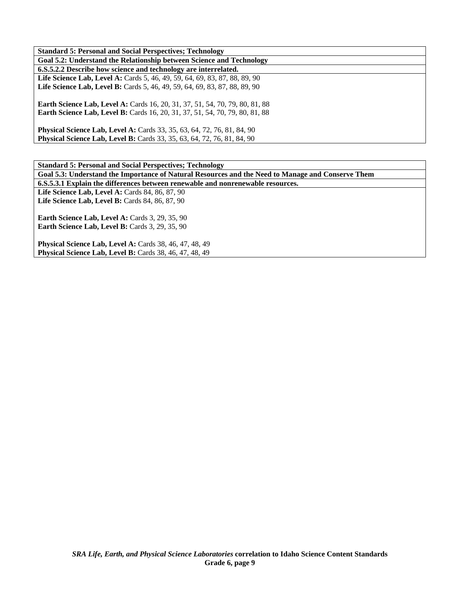| <b>Standard 5: Personal and Social Perspectives: Technology</b>                                                                                                     |
|---------------------------------------------------------------------------------------------------------------------------------------------------------------------|
|                                                                                                                                                                     |
| Goal 5.2: Understand the Relationship between Science and Technology                                                                                                |
| 6.S.5.2.2 Describe how science and technology are interrelated.                                                                                                     |
| <b>Life Science Lab, Level A:</b> Cards 5, 46, 49, 59, 64, 69, 83, 87, 88, 89, 90                                                                                   |
| Life Science Lab, Level B: Cards 5, 46, 49, 59, 64, 69, 83, 87, 88, 89, 90                                                                                          |
| <b>Earth Science Lab, Level A:</b> Cards 16, 20, 31, 37, 51, 54, 70, 79, 80, 81, 88<br>Earth Science Lab, Level B: Cards 16, 20, 31, 37, 51, 54, 70, 79, 80, 81, 88 |
| <b>Physical Science Lab, Level A:</b> Cards 33, 35, 63, 64, 72, 76, 81, 84, 90<br><b>Physical Science Lab, Level B:</b> Cards 33, 35, 63, 64, 72, 76, 81, 84, 90    |

**Standard 5: Personal and Social Perspectives; Technology Goal 5.3: Understand the Importance of Natural Resources and the Need to Manage and Conserve Them 6.S.5.3.1 Explain the differences between renewable and nonrenewable resources.**  Life Science Lab, Level A: Cards 84, 86, 87, 90 Life Science Lab, Level B: Cards 84, 86, 87, 90 **Earth Science Lab, Level A: Cards 3, 29, 35, 90 Earth Science Lab, Level B: Cards 3, 29, 35, 90** 

**Physical Science Lab, Level A: Cards 38, 46, 47, 48, 49 Physical Science Lab, Level B:** Cards 38, 46, 47, 48, 49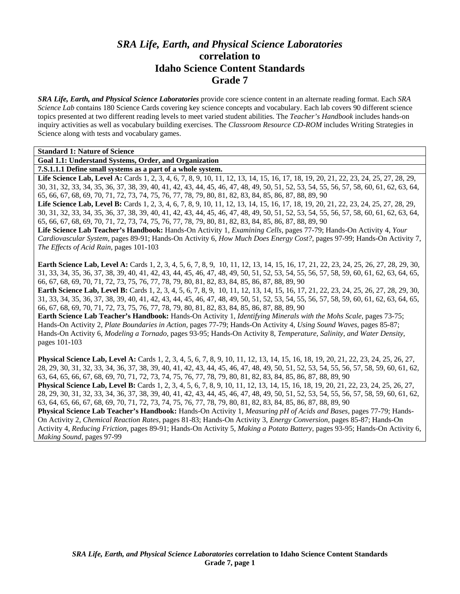# *SRA Life, Earth, and Physical Science Laboratories*  **correlation to Idaho Science Content Standards Grade 7**

*SRA Life, Earth, and Physical Science Laboratories* provide core science content in an alternate reading format. Each *SRA Science Lab* contains 180 Science Cards covering key science concepts and vocabulary. Each lab covers 90 different science topics presented at two different reading levels to meet varied student abilities. The *Teacher's Handbook* includes hands-on inquiry activities as well as vocabulary building exercises. The *Classroom Resource CD-ROM* includes Writing Strategies in Science along with tests and vocabulary games.

| <b>Standard 1: Nature of Science</b>                                                                                                        |
|---------------------------------------------------------------------------------------------------------------------------------------------|
| Goal 1.1: Understand Systems, Order, and Organization                                                                                       |
| 7.S.1.1.1 Define small systems as a part of a whole system.                                                                                 |
| Life Science Lab, Level A: Cards 1, 2, 3, 4, 6, 7, 8, 9, 10, 11, 12, 13, 14, 15, 16, 17, 18, 19, 20, 21, 22, 23, 24, 25, 27, 28, 29,        |
| 30, 31, 32, 33, 34, 35, 36, 37, 38, 39, 40, 41, 42, 43, 44, 45, 46, 47, 48, 49, 50, 51, 52, 53, 54, 55, 56, 57, 58, 60, 61, 62, 63, 64,     |
| 65, 66, 67, 68, 69, 70, 71, 72, 73, 74, 75, 76, 77, 78, 79, 80, 81, 82, 83, 84, 85, 86, 87, 88, 89, 90                                      |
| Life Science Lab, Level B: Cards 1, 2, 3, 4, 6, 7, 8, 9, 10, 11, 12, 13, 14, 15, 16, 17, 18, 19, 20, 21, 22, 23, 24, 25, 27, 28, 29,        |
| 30, 31, 32, 33, 34, 35, 36, 37, 38, 39, 40, 41, 42, 43, 44, 45, 46, 47, 48, 49, 50, 51, 52, 53, 54, 55, 56, 57, 58, 60, 61, 62, 63, 64,     |
| 65, 66, 67, 68, 69, 70, 71, 72, 73, 74, 75, 76, 77, 78, 79, 80, 81, 82, 83, 84, 85, 86, 87, 88, 89, 90                                      |
| Life Science Lab Teacher's Handbook: Hands-On Activity 1, Examining Cells, pages 77-79; Hands-On Activity 4, Your                           |
| Cardiovascular System, pages 89-91; Hands-On Activity 6, How Much Does Energy Cost?, pages 97-99; Hands-On Activity 7,                      |
| The Effects of Acid Rain, pages 101-103                                                                                                     |
|                                                                                                                                             |
| <b>Earth Science Lab, Level A:</b> Cards 1, 2, 3, 4, 5, 6, 7, 8, 9, 10, 11, 12, 13, 14, 15, 16, 17, 21, 22, 23, 24, 25, 26, 27, 28, 29, 30, |
| 31, 33, 34, 35, 36, 37, 38, 39, 40, 41, 42, 43, 44, 45, 46, 47, 48, 49, 50, 51, 52, 53, 54, 55, 56, 57, 58, 59, 60, 61, 62, 63, 64, 65,     |
| 66, 67, 68, 69, 70, 71, 72, 73, 75, 76, 77, 78, 79, 80, 81, 82, 83, 84, 85, 86, 87, 88, 89, 90                                              |
| <b>Earth Science Lab, Level B:</b> Cards 1, 2, 3, 4, 5, 6, 7, 8, 9, 10, 11, 12, 13, 14, 15, 16, 17, 21, 22, 23, 24, 25, 26, 27, 28, 29, 30, |
| 31, 33, 34, 35, 36, 37, 38, 39, 40, 41, 42, 43, 44, 45, 46, 47, 48, 49, 50, 51, 52, 53, 54, 55, 56, 57, 58, 59, 60, 61, 62, 63, 64, 65,     |
| 66, 67, 68, 69, 70, 71, 72, 73, 75, 76, 77, 78, 79, 80, 81, 82, 83, 84, 85, 86, 87, 88, 89, 90                                              |
| Earth Science Lab Teacher's Handbook: Hands-On Activity 1, Identifying Minerals with the Mohs Scale, pages 73-75;                           |
| Hands-On Activity 2, Plate Boundaries in Action, pages 77-79; Hands-On Activity 4, Using Sound Waves, pages 85-87;                          |
| Hands-On Activity 6, Modeling a Tornado, pages 93-95; Hands-On Activity 8, Temperature, Salinity, and Water Density,                        |
| pages 101-103                                                                                                                               |
|                                                                                                                                             |
| <b>Dhrugged Cainnes Leh Level A</b> , Carde 1, 2, 2, 4, 5, 6, 7, 9, 0, 10, 11, 12, 14, 15, 16, 19, 10, 20, 21, 22, 24, 25, 26, 27           |

**Physical Science Lab, Level A:** Cards 1, 2, 3, 4, 5, 6, 7, 8, 9, 10, 11, 12, 13, 14, 15, 16, 18, 19, 20, 21, 22, 23, 24, 25, 26, 27, 28, 29, 30, 31, 32, 33, 34, 36, 37, 38, 39, 40, 41, 42, 43, 44, 45, 46, 47, 48, 49, 50, 51, 52, 53, 54, 55, 56, 57, 58, 59, 60, 61, 62, 63, 64, 65, 66, 67, 68, 69, 70, 71, 72, 73, 74, 75, 76, 77, 78, 79, 80, 81, 82, 83, 84, 85, 86, 87, 88, 89, 90 **Physical Science Lab, Level B:** Cards 1, 2, 3, 4, 5, 6, 7, 8, 9, 10, 11, 12, 13, 14, 15, 16, 18, 19, 20, 21, 22, 23, 24, 25, 26, 27, 28, 29, 30, 31, 32, 33, 34, 36, 37, 38, 39, 40, 41, 42, 43, 44, 45, 46, 47, 48, 49, 50, 51, 52, 53, 54, 55, 56, 57, 58, 59, 60, 61, 62, 63, 64, 65, 66, 67, 68, 69, 70, 71, 72, 73, 74, 75, 76, 77, 78, 79, 80, 81, 82, 83, 84, 85, 86, 87, 88, 89, 90 **Physical Science Lab Teacher's Handbook:** Hands-On Activity 1, *Measuring pH of Acids and Bases,* pages 77-79; Hands-On Activity 2, *Chemical Reaction Rates,* pages 81-83; Hands-On Activity 3, *Energy Conversion,* pages 85-87; Hands-On Activity 4, *Reducing Friction,* pages 89-91; Hands-On Activity 5, *Making a Potato Battery,* pages 93-95; Hands-On Activity 6, *Making Sound,* pages 97-99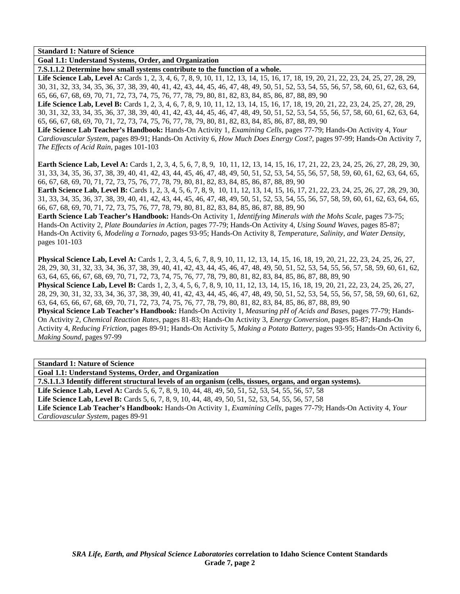**Goal 1.1: Understand Systems, Order, and Organization** 

**7.S.1.1.2 Determine how small systems contribute to the function of a whole.** 

Life Science Lab, Level A: Cards 1, 2, 3, 4, 6, 7, 8, 9, 10, 11, 12, 13, 14, 15, 16, 17, 18, 19, 20, 21, 22, 23, 24, 25, 27, 28, 29, 30, 31, 32, 33, 34, 35, 36, 37, 38, 39, 40, 41, 42, 43, 44, 45, 46, 47, 48, 49, 50, 51, 52, 53, 54, 55, 56, 57, 58, 60, 61, 62, 63, 64, 65, 66, 67, 68, 69, 70, 71, 72, 73, 74, 75, 76, 77, 78, 79, 80, 81, 82, 83, 84, 85, 86, 87, 88, 89, 90

Life Science Lab, Level B: Cards 1, 2, 3, 4, 6, 7, 8, 9, 10, 11, 12, 13, 14, 15, 16, 17, 18, 19, 20, 21, 22, 23, 24, 25, 27, 28, 29, 30, 31, 32, 33, 34, 35, 36, 37, 38, 39, 40, 41, 42, 43, 44, 45, 46, 47, 48, 49, 50, 51, 52, 53, 54, 55, 56, 57, 58, 60, 61, 62, 63, 64, 65, 66, 67, 68, 69, 70, 71, 72, 73, 74, 75, 76, 77, 78, 79, 80, 81, 82, 83, 84, 85, 86, 87, 88, 89, 90

**Life Science Lab Teacher's Handbook:** Hands-On Activity 1, *Examining Cells,* pages 77-79; Hands-On Activity 4, *Your Cardiovascular System,* pages 89-91; Hands-On Activity 6, *How Much Does Energy Cost?,* pages 97-99; Hands-On Activity 7, *The Effects of Acid Rain,* pages 101-103

**Earth Science Lab, Level A:** Cards 1, 2, 3, 4, 5, 6, 7, 8, 9, 10, 11, 12, 13, 14, 15, 16, 17, 21, 22, 23, 24, 25, 26, 27, 28, 29, 30, 31, 33, 34, 35, 36, 37, 38, 39, 40, 41, 42, 43, 44, 45, 46, 47, 48, 49, 50, 51, 52, 53, 54, 55, 56, 57, 58, 59, 60, 61, 62, 63, 64, 65, 66, 67, 68, 69, 70, 71, 72, 73, 75, 76, 77, 78, 79, 80, 81, 82, 83, 84, 85, 86, 87, 88, 89, 90

**Earth Science Lab, Level B:** Cards 1, 2, 3, 4, 5, 6, 7, 8, 9, 10, 11, 12, 13, 14, 15, 16, 17, 21, 22, 23, 24, 25, 26, 27, 28, 29, 30, 31, 33, 34, 35, 36, 37, 38, 39, 40, 41, 42, 43, 44, 45, 46, 47, 48, 49, 50, 51, 52, 53, 54, 55, 56, 57, 58, 59, 60, 61, 62, 63, 64, 65, 66, 67, 68, 69, 70, 71, 72, 73, 75, 76, 77, 78, 79, 80, 81, 82, 83, 84, 85, 86, 87, 88, 89, 90

**Earth Science Lab Teacher's Handbook:** Hands-On Activity 1, *Identifying Minerals with the Mohs Scale,* pages 73-75; Hands-On Activity 2, *Plate Boundaries in Action,* pages 77-79; Hands-On Activity 4, *Using Sound Waves,* pages 85-87; Hands-On Activity 6, *Modeling a Tornado,* pages 93-95; Hands-On Activity 8, *Temperature, Salinity, and Water Density,* pages 101-103

**Physical Science Lab, Level A:** Cards 1, 2, 3, 4, 5, 6, 7, 8, 9, 10, 11, 12, 13, 14, 15, 16, 18, 19, 20, 21, 22, 23, 24, 25, 26, 27, 28, 29, 30, 31, 32, 33, 34, 36, 37, 38, 39, 40, 41, 42, 43, 44, 45, 46, 47, 48, 49, 50, 51, 52, 53, 54, 55, 56, 57, 58, 59, 60, 61, 62, 63, 64, 65, 66, 67, 68, 69, 70, 71, 72, 73, 74, 75, 76, 77, 78, 79, 80, 81, 82, 83, 84, 85, 86, 87, 88, 89, 90

**Physical Science Lab, Level B:** Cards 1, 2, 3, 4, 5, 6, 7, 8, 9, 10, 11, 12, 13, 14, 15, 16, 18, 19, 20, 21, 22, 23, 24, 25, 26, 27, 28, 29, 30, 31, 32, 33, 34, 36, 37, 38, 39, 40, 41, 42, 43, 44, 45, 46, 47, 48, 49, 50, 51, 52, 53, 54, 55, 56, 57, 58, 59, 60, 61, 62, 63, 64, 65, 66, 67, 68, 69, 70, 71, 72, 73, 74, 75, 76, 77, 78, 79, 80, 81, 82, 83, 84, 85, 86, 87, 88, 89, 90

**Physical Science Lab Teacher's Handbook:** Hands-On Activity 1, *Measuring pH of Acids and Bases,* pages 77-79; Hands-On Activity 2, *Chemical Reaction Rates,* pages 81-83; Hands-On Activity 3, *Energy Conversion,* pages 85-87; Hands-On Activity 4, *Reducing Friction,* pages 89-91; Hands-On Activity 5, *Making a Potato Battery,* pages 93-95; Hands-On Activity 6, *Making Sound,* pages 97-99

#### **Standard 1: Nature of Science**

**Goal 1.1: Understand Systems, Order, and Organization** 

**7.S.1.1.3 Identify different structural levels of an organism (cells, tissues, organs, and organ systems).** 

Life Science Lab, Level A: Cards 5, 6, 7, 8, 9, 10, 44, 48, 49, 50, 51, 52, 53, 54, 55, 56, 57, 58 Life Science Lab, Level B: Cards 5, 6, 7, 8, 9, 10, 44, 48, 49, 50, 51, 52, 53, 54, 55, 56, 57, 58 **Life Science Lab Teacher's Handbook:** Hands-On Activity 1, *Examining Cells,* pages 77-79; Hands-On Activity 4, *Your Cardiovascular System,* pages 89-91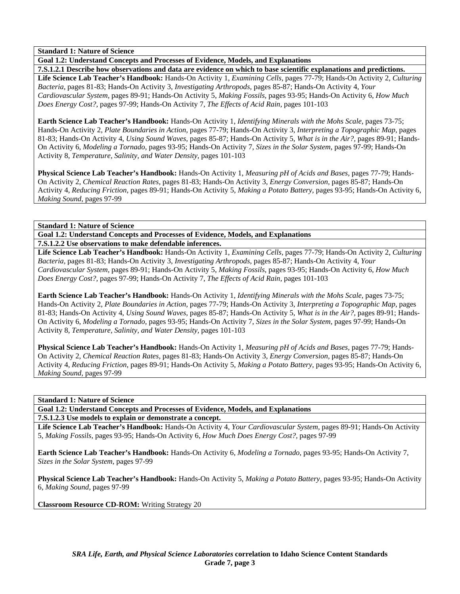**Goal 1.2: Understand Concepts and Processes of Evidence, Models, and Explanations** 

**7.S.1.2.1 Describe how observations and data are evidence on which to base scientific explanations and predictions. Life Science Lab Teacher's Handbook:** Hands-On Activity 1, *Examining Cells,* pages 77-79; Hands-On Activity 2, *Culturing Bacteria,* pages 81-83; Hands-On Activity 3, *Investigating Arthropods,* pages 85-87; Hands-On Activity 4, *Your Cardiovascular System,* pages 89-91; Hands-On Activity 5, *Making Fossils,* pages 93-95; Hands-On Activity 6, *How Much Does Energy Cost?,* pages 97-99; Hands-On Activity 7, *The Effects of Acid Rain,* pages 101-103

**Earth Science Lab Teacher's Handbook:** Hands-On Activity 1, *Identifying Minerals with the Mohs Scale,* pages 73-75; Hands-On Activity 2, *Plate Boundaries in Action,* pages 77-79; Hands-On Activity 3, *Interpreting a Topographic Map,* pages 81-83; Hands-On Activity 4, *Using Sound Waves,* pages 85-87; Hands-On Activity 5, *What is in the Air?,* pages 89-91; Hands-On Activity 6, *Modeling a Tornado,* pages 93-95; Hands-On Activity 7, *Sizes in the Solar System,* pages 97-99; Hands-On Activity 8, *Temperature, Salinity, and Water Density,* pages 101-103

**Physical Science Lab Teacher's Handbook:** Hands-On Activity 1, *Measuring pH of Acids and Bases,* pages 77-79; Hands-On Activity 2, *Chemical Reaction Rates,* pages 81-83; Hands-On Activity 3, *Energy Conversion,* pages 85-87; Hands-On Activity 4, *Reducing Friction,* pages 89-91; Hands-On Activity 5, *Making a Potato Battery,* pages 93-95; Hands-On Activity 6, *Making Sound,* pages 97-99

# **Standard 1: Nature of Science**

**Goal 1.2: Understand Concepts and Processes of Evidence, Models, and Explanations 7.S.1.2.2 Use observations to make defendable inferences.** 

**Life Science Lab Teacher's Handbook:** Hands-On Activity 1, *Examining Cells,* pages 77-79; Hands-On Activity 2, *Culturing Bacteria,* pages 81-83; Hands-On Activity 3, *Investigating Arthropods,* pages 85-87; Hands-On Activity 4, *Your Cardiovascular System,* pages 89-91; Hands-On Activity 5, *Making Fossils,* pages 93-95; Hands-On Activity 6, *How Much Does Energy Cost?,* pages 97-99; Hands-On Activity 7, *The Effects of Acid Rain,* pages 101-103

**Earth Science Lab Teacher's Handbook:** Hands-On Activity 1, *Identifying Minerals with the Mohs Scale,* pages 73-75; Hands-On Activity 2, *Plate Boundaries in Action,* pages 77-79; Hands-On Activity 3, *Interpreting a Topographic Map,* pages 81-83; Hands-On Activity 4, *Using Sound Waves,* pages 85-87; Hands-On Activity 5, *What is in the Air?,* pages 89-91; Hands-On Activity 6, *Modeling a Tornado,* pages 93-95; Hands-On Activity 7, *Sizes in the Solar System,* pages 97-99; Hands-On Activity 8, *Temperature, Salinity, and Water Density,* pages 101-103

**Physical Science Lab Teacher's Handbook:** Hands-On Activity 1, *Measuring pH of Acids and Bases,* pages 77-79; Hands-On Activity 2, *Chemical Reaction Rates,* pages 81-83; Hands-On Activity 3, *Energy Conversion,* pages 85-87; Hands-On Activity 4, *Reducing Friction,* pages 89-91; Hands-On Activity 5, *Making a Potato Battery,* pages 93-95; Hands-On Activity 6, *Making Sound,* pages 97-99

# **Standard 1: Nature of Science**

**Goal 1.2: Understand Concepts and Processes of Evidence, Models, and Explanations** 

**7.S.1.2.3 Use models to explain or demonstrate a concept.** 

**Life Science Lab Teacher's Handbook:** Hands-On Activity 4, *Your Cardiovascular System,* pages 89-91; Hands-On Activity 5, *Making Fossils,* pages 93-95; Hands-On Activity 6, *How Much Does Energy Cost?,* pages 97-99

**Earth Science Lab Teacher's Handbook:** Hands-On Activity 6, *Modeling a Tornado,* pages 93-95; Hands-On Activity 7, *Sizes in the Solar System,* pages 97-99

**Physical Science Lab Teacher's Handbook:** Hands-On Activity 5, *Making a Potato Battery,* pages 93-95; Hands-On Activity 6, *Making Sound,* pages 97-99

**Classroom Resource CD-ROM:** Writing Strategy 20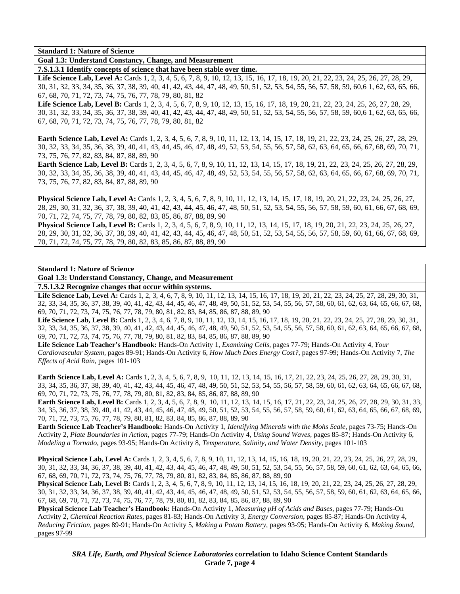**Goal 1.3: Understand Constancy, Change, and Measurement** 

**7.S.1.3.1 Identify concepts of science that have been stable over time.** 

Life Science Lab, Level A: Cards 1, 2, 3, 4, 5, 6, 7, 8, 9, 10, 12, 13, 15, 16, 17, 18, 19, 20, 21, 22, 23, 24, 25, 26, 27, 28, 29, 30, 31, 32, 33, 34, 35, 36, 37, 38, 39, 40, 41, 42, 43, 44, 47, 48, 49, 50, 51, 52, 53, 54, 55, 56, 57, 58, 59, 60,6 1, 62, 63, 65, 66, 67, 68, 70, 71, 72, 73, 74, 75, 76, 77, 78, 79, 80, 81, 82

Life Science Lab, Level B: Cards 1, 2, 3, 4, 5, 6, 7, 8, 9, 10, 12, 13, 15, 16, 17, 18, 19, 20, 21, 22, 23, 24, 25, 26, 27, 28, 29, 30, 31, 32, 33, 34, 35, 36, 37, 38, 39, 40, 41, 42, 43, 44, 47, 48, 49, 50, 51, 52, 53, 54, 55, 56, 57, 58, 59, 60,6 1, 62, 63, 65, 66, 67, 68, 70, 71, 72, 73, 74, 75, 76, 77, 78, 79, 80, 81, 82

**Earth Science Lab, Level A:** Cards 1, 2, 3, 4, 5, 6, 7, 8, 9, 10, 11, 12, 13, 14, 15, 17, 18, 19, 21, 22, 23, 24, 25, 26, 27, 28, 29, 30, 32, 33, 34, 35, 36, 38, 39, 40, 41, 43, 44, 45, 46, 47, 48, 49, 52, 53, 54, 55, 56, 57, 58, 62, 63, 64, 65, 66, 67, 68, 69, 70, 71, 73, 75, 76, 77, 82, 83, 84, 87, 88, 89, 90

**Earth Science Lab, Level B:** Cards 1, 2, 3, 4, 5, 6, 7, 8, 9, 10, 11, 12, 13, 14, 15, 17, 18, 19, 21, 22, 23, 24, 25, 26, 27, 28, 29, 30, 32, 33, 34, 35, 36, 38, 39, 40, 41, 43, 44, 45, 46, 47, 48, 49, 52, 53, 54, 55, 56, 57, 58, 62, 63, 64, 65, 66, 67, 68, 69, 70, 71, 73, 75, 76, 77, 82, 83, 84, 87, 88, 89, 90

**Physical Science Lab, Level A:** Cards 1, 2, 3, 4, 5, 6, 7, 8, 9, 10, 11, 12, 13, 14, 15, 17, 18, 19, 20, 21, 22, 23, 24, 25, 26, 27, 28, 29, 30, 31, 32, 36, 37, 38, 39, 40, 41, 42, 43, 44, 45, 46, 47, 48, 50, 51, 52, 53, 54, 55, 56, 57, 58, 59, 60, 61, 66, 67, 68, 69, 70, 71, 72, 74, 75, 77, 78, 79, 80, 82, 83, 85, 86, 87, 88, 89, 90

**Physical Science Lab, Level B:** Cards 1, 2, 3, 4, 5, 6, 7, 8, 9, 10, 11, 12, 13, 14, 15, 17, 18, 19, 20, 21, 22, 23, 24, 25, 26, 27, 28, 29, 30, 31, 32, 36, 37, 38, 39, 40, 41, 42, 43, 44, 45, 46, 47, 48, 50, 51, 52, 53, 54, 55, 56, 57, 58, 59, 60, 61, 66, 67, 68, 69, 70, 71, 72, 74, 75, 77, 78, 79, 80, 82, 83, 85, 86, 87, 88, 89, 90

#### **Standard 1: Nature of Science**

**Goal 1.3: Understand Constancy, Change, and Measurement** 

**7.S.1.3.2 Recognize changes that occur within systems.** 

Life Science Lab, Level A: Cards 1, 2, 3, 4, 6, 7, 8, 9, 10, 11, 12, 13, 14, 15, 16, 17, 18, 19, 20, 21, 22, 23, 24, 25, 27, 28, 29, 30, 31, 32, 33, 34, 35, 36, 37, 38, 39, 40, 41, 42, 43, 44, 45, 46, 47, 48, 49, 50, 51, 52, 53, 54, 55, 56, 57, 58, 60, 61, 62, 63, 64, 65, 66, 67, 68, 69, 70, 71, 72, 73, 74, 75, 76, 77, 78, 79, 80, 81, 82, 83, 84, 85, 86, 87, 88, 89, 90

Life Science Lab, Level B: Cards 1, 2, 3, 4, 6, 7, 8, 9, 10, 11, 12, 13, 14, 15, 16, 17, 18, 19, 20, 21, 22, 23, 24, 25, 27, 28, 29, 30, 31, 32, 33, 34, 35, 36, 37, 38, 39, 40, 41, 42, 43, 44, 45, 46, 47, 48, 49, 50, 51, 52, 53, 54, 55, 56, 57, 58, 60, 61, 62, 63, 64, 65, 66, 67, 68, 69, 70, 71, 72, 73, 74, 75, 76, 77, 78, 79, 80, 81, 82, 83, 84, 85, 86, 87, 88, 89, 90

**Life Science Lab Teacher's Handbook:** Hands-On Activity 1, *Examining Cells,* pages 77-79; Hands-On Activity 4, *Your Cardiovascular System,* pages 89-91; Hands-On Activity 6, *How Much Does Energy Cost?,* pages 97-99; Hands-On Activity 7, *The Effects of Acid Rain,* pages 101-103

**Earth Science Lab, Level A:** Cards 1, 2, 3, 4, 5, 6, 7, 8, 9, 10, 11, 12, 13, 14, 15, 16, 17, 21, 22, 23, 24, 25, 26, 27, 28, 29, 30, 31, 33, 34, 35, 36, 37, 38, 39, 40, 41, 42, 43, 44, 45, 46, 47, 48, 49, 50, 51, 52, 53, 54, 55, 56, 57, 58, 59, 60, 61, 62, 63, 64, 65, 66, 67, 68, 69, 70, 71, 72, 73, 75, 76, 77, 78, 79, 80, 81, 82, 83, 84, 85, 86, 87, 88, 89, 90

**Earth Science Lab, Level B:** Cards 1, 2, 3, 4, 5, 6, 7, 8, 9, 10, 11, 12, 13, 14, 15, 16, 17, 21, 22, 23, 24, 25, 26, 27, 28, 29, 30, 31, 33, 34, 35, 36, 37, 38, 39, 40, 41, 42, 43, 44, 45, 46, 47, 48, 49, 50, 51, 52, 53, 54, 55, 56, 57, 58, 59, 60, 61, 62, 63, 64, 65, 66, 67, 68, 69, 70, 71, 72, 73, 75, 76, 77, 78, 79, 80, 81, 82, 83, 84, 85, 86, 87, 88, 89, 90

**Earth Science Lab Teacher's Handbook:** Hands-On Activity 1, *Identifying Minerals with the Mohs Scale,* pages 73-75; Hands-On Activity 2, *Plate Boundaries in Action,* pages 77-79; Hands-On Activity 4, *Using Sound Waves,* pages 85-87; Hands-On Activity 6, *Modeling a Tornado,* pages 93-95; Hands-On Activity 8, *Temperature, Salinity, and Water Density,* pages 101-103

**Physical Science Lab, Level A:** Cards 1, 2, 3, 4, 5, 6, 7, 8, 9, 10, 11, 12, 13, 14, 15, 16, 18, 19, 20, 21, 22, 23, 24, 25, 26, 27, 28, 29, 30, 31, 32, 33, 34, 36, 37, 38, 39, 40, 41, 42, 43, 44, 45, 46, 47, 48, 49, 50, 51, 52, 53, 54, 55, 56, 57, 58, 59, 60, 61, 62, 63, 64, 65, 66, 67, 68, 69, 70, 71, 72, 73, 74, 75, 76, 77, 78, 79, 80, 81, 82, 83, 84, 85, 86, 87, 88, 89, 90

**Physical Science Lab, Level B:** Cards 1, 2, 3, 4, 5, 6, 7, 8, 9, 10, 11, 12, 13, 14, 15, 16, 18, 19, 20, 21, 22, 23, 24, 25, 26, 27, 28, 29, 30, 31, 32, 33, 34, 36, 37, 38, 39, 40, 41, 42, 43, 44, 45, 46, 47, 48, 49, 50, 51, 52, 53, 54, 55, 56, 57, 58, 59, 60, 61, 62, 63, 64, 65, 66, 67, 68, 69, 70, 71, 72, 73, 74, 75, 76, 77, 78, 79, 80, 81, 82, 83, 84, 85, 86, 87, 88, 89, 90

**Physical Science Lab Teacher's Handbook:** Hands-On Activity 1, *Measuring pH of Acids and Bases,* pages 77-79; Hands-On Activity 2, *Chemical Reaction Rates,* pages 81-83; Hands-On Activity 3, *Energy Conversion,* pages 85-87; Hands-On Activity 4, *Reducing Friction,* pages 89-91; Hands-On Activity 5, *Making a Potato Battery,* pages 93-95; Hands-On Activity 6, *Making Sound,* pages 97-99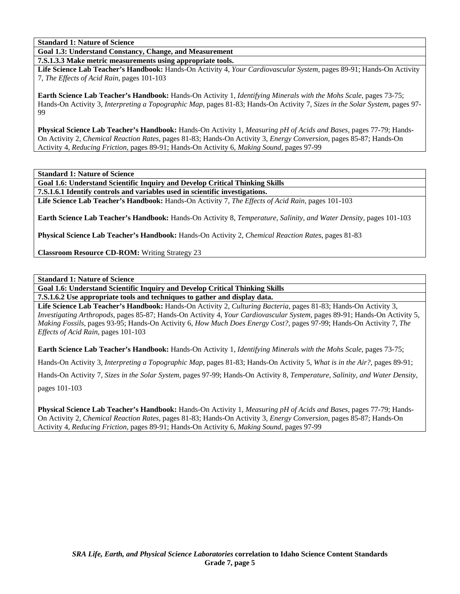**Goal 1.3: Understand Constancy, Change, and Measurement** 

**7.S.1.3.3 Make metric measurements using appropriate tools.** 

**Life Science Lab Teacher's Handbook:** Hands-On Activity 4, *Your Cardiovascular System,* pages 89-91; Hands-On Activity 7, *The Effects of Acid Rain,* pages 101-103

**Earth Science Lab Teacher's Handbook:** Hands-On Activity 1, *Identifying Minerals with the Mohs Scale,* pages 73-75; Hands-On Activity 3, *Interpreting a Topographic Map,* pages 81-83; Hands-On Activity 7, *Sizes in the Solar System,* pages 97- 99

**Physical Science Lab Teacher's Handbook:** Hands-On Activity 1, *Measuring pH of Acids and Bases,* pages 77-79; Hands-On Activity 2, *Chemical Reaction Rates,* pages 81-83; Hands-On Activity 3, *Energy Conversion,* pages 85-87; Hands-On Activity 4, *Reducing Friction,* pages 89-91; Hands-On Activity 6, *Making Sound,* pages 97-99

**Standard 1: Nature of Science** 

**Goal 1.6: Understand Scientific Inquiry and Develop Critical Thinking Skills 7.S.1.6.1 Identify controls and variables used in scientific investigations.** 

**Life Science Lab Teacher's Handbook:** Hands-On Activity 7, *The Effects of Acid Rain,* pages 101-103

**Earth Science Lab Teacher's Handbook:** Hands-On Activity 8, *Temperature, Salinity, and Water Density,* pages 101-103

**Physical Science Lab Teacher's Handbook:** Hands-On Activity 2, *Chemical Reaction Rates,* pages 81-83

**Classroom Resource CD-ROM:** Writing Strategy 23

**Standard 1: Nature of Science** 

**Goal 1.6: Understand Scientific Inquiry and Develop Critical Thinking Skills** 

**7.S.1.6.2 Use appropriate tools and techniques to gather and display data.** 

**Life Science Lab Teacher's Handbook:** Hands-On Activity 2, *Culturing Bacteria,* pages 81-83; Hands-On Activity 3, *Investigating Arthropods,* pages 85-87; Hands-On Activity 4, *Your Cardiovascular System,* pages 89-91; Hands-On Activity 5, *Making Fossils,* pages 93-95; Hands-On Activity 6, *How Much Does Energy Cost?,* pages 97-99; Hands-On Activity 7, *The Effects of Acid Rain,* pages 101-103

**Earth Science Lab Teacher's Handbook:** Hands-On Activity 1, *Identifying Minerals with the Mohs Scale,* pages 73-75;

Hands-On Activity 3, *Interpreting a Topographic Map,* pages 81-83; Hands-On Activity 5, *What is in the Air?,* pages 89-91;

Hands-On Activity 7, *Sizes in the Solar System,* pages 97-99; Hands-On Activity 8, *Temperature, Salinity, and Water Density,*

pages 101-103

**Physical Science Lab Teacher's Handbook:** Hands-On Activity 1, *Measuring pH of Acids and Bases,* pages 77-79; Hands-On Activity 2, *Chemical Reaction Rates,* pages 81-83; Hands-On Activity 3, *Energy Conversion,* pages 85-87; Hands-On Activity 4, *Reducing Friction,* pages 89-91; Hands-On Activity 6, *Making Sound,* pages 97-99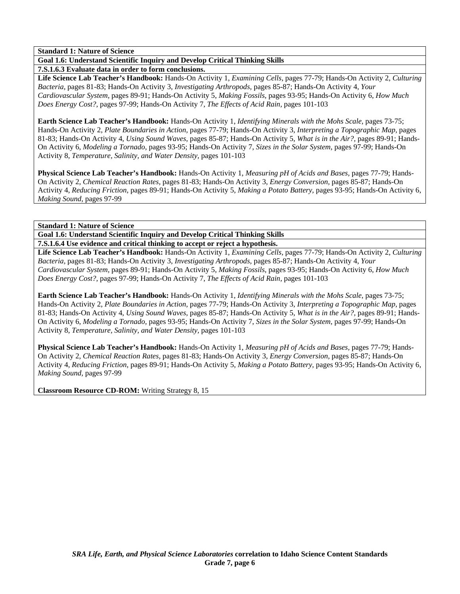**Goal 1.6: Understand Scientific Inquiry and Develop Critical Thinking Skills** 

**7.S.1.6.3 Evaluate data in order to form conclusions.** 

**Life Science Lab Teacher's Handbook:** Hands-On Activity 1, *Examining Cells,* pages 77-79; Hands-On Activity 2, *Culturing Bacteria,* pages 81-83; Hands-On Activity 3, *Investigating Arthropods,* pages 85-87; Hands-On Activity 4, *Your Cardiovascular System,* pages 89-91; Hands-On Activity 5, *Making Fossils,* pages 93-95; Hands-On Activity 6, *How Much Does Energy Cost?,* pages 97-99; Hands-On Activity 7, *The Effects of Acid Rain,* pages 101-103

**Earth Science Lab Teacher's Handbook:** Hands-On Activity 1, *Identifying Minerals with the Mohs Scale,* pages 73-75; Hands-On Activity 2, *Plate Boundaries in Action,* pages 77-79; Hands-On Activity 3, *Interpreting a Topographic Map,* pages 81-83; Hands-On Activity 4, *Using Sound Waves,* pages 85-87; Hands-On Activity 5, *What is in the Air?,* pages 89-91; Hands-On Activity 6, *Modeling a Tornado,* pages 93-95; Hands-On Activity 7, *Sizes in the Solar System,* pages 97-99; Hands-On Activity 8, *Temperature, Salinity, and Water Density,* pages 101-103

**Physical Science Lab Teacher's Handbook:** Hands-On Activity 1, *Measuring pH of Acids and Bases,* pages 77-79; Hands-On Activity 2, *Chemical Reaction Rates,* pages 81-83; Hands-On Activity 3, *Energy Conversion,* pages 85-87; Hands-On Activity 4, *Reducing Friction,* pages 89-91; Hands-On Activity 5, *Making a Potato Battery,* pages 93-95; Hands-On Activity 6, *Making Sound,* pages 97-99

**Standard 1: Nature of Science** 

**Goal 1.6: Understand Scientific Inquiry and Develop Critical Thinking Skills** 

**7.S.1.6.4 Use evidence and critical thinking to accept or reject a hypothesis.** 

**Life Science Lab Teacher's Handbook:** Hands-On Activity 1, *Examining Cells,* pages 77-79; Hands-On Activity 2, *Culturing Bacteria,* pages 81-83; Hands-On Activity 3, *Investigating Arthropods,* pages 85-87; Hands-On Activity 4, *Your Cardiovascular System,* pages 89-91; Hands-On Activity 5, *Making Fossils,* pages 93-95; Hands-On Activity 6, *How Much Does Energy Cost?,* pages 97-99; Hands-On Activity 7, *The Effects of Acid Rain,* pages 101-103

**Earth Science Lab Teacher's Handbook:** Hands-On Activity 1, *Identifying Minerals with the Mohs Scale,* pages 73-75; Hands-On Activity 2, *Plate Boundaries in Action,* pages 77-79; Hands-On Activity 3, *Interpreting a Topographic Map,* pages 81-83; Hands-On Activity 4, *Using Sound Waves,* pages 85-87; Hands-On Activity 5, *What is in the Air?,* pages 89-91; Hands-On Activity 6, *Modeling a Tornado,* pages 93-95; Hands-On Activity 7, *Sizes in the Solar System,* pages 97-99; Hands-On Activity 8, *Temperature, Salinity, and Water Density,* pages 101-103

**Physical Science Lab Teacher's Handbook:** Hands-On Activity 1, *Measuring pH of Acids and Bases,* pages 77-79; Hands-On Activity 2, *Chemical Reaction Rates,* pages 81-83; Hands-On Activity 3, *Energy Conversion,* pages 85-87; Hands-On Activity 4, *Reducing Friction,* pages 89-91; Hands-On Activity 5, *Making a Potato Battery,* pages 93-95; Hands-On Activity 6, *Making Sound,* pages 97-99

**Classroom Resource CD-ROM:** Writing Strategy 8, 15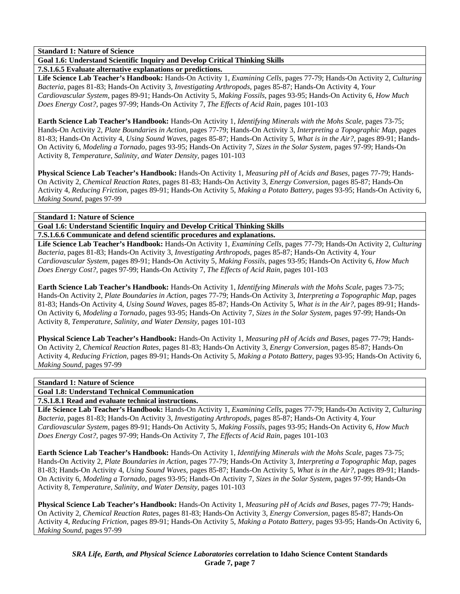**Goal 1.6: Understand Scientific Inquiry and Develop Critical Thinking Skills** 

**7.S.1.6.5 Evaluate alternative explanations or predictions.** 

**Life Science Lab Teacher's Handbook:** Hands-On Activity 1, *Examining Cells,* pages 77-79; Hands-On Activity 2, *Culturing Bacteria,* pages 81-83; Hands-On Activity 3, *Investigating Arthropods,* pages 85-87; Hands-On Activity 4, *Your Cardiovascular System,* pages 89-91; Hands-On Activity 5, *Making Fossils,* pages 93-95; Hands-On Activity 6, *How Much Does Energy Cost?,* pages 97-99; Hands-On Activity 7, *The Effects of Acid Rain,* pages 101-103

**Earth Science Lab Teacher's Handbook:** Hands-On Activity 1, *Identifying Minerals with the Mohs Scale,* pages 73-75; Hands-On Activity 2, *Plate Boundaries in Action,* pages 77-79; Hands-On Activity 3, *Interpreting a Topographic Map,* pages 81-83; Hands-On Activity 4, *Using Sound Waves,* pages 85-87; Hands-On Activity 5, *What is in the Air?,* pages 89-91; Hands-On Activity 6, *Modeling a Tornado,* pages 93-95; Hands-On Activity 7, *Sizes in the Solar System,* pages 97-99; Hands-On Activity 8, *Temperature, Salinity, and Water Density,* pages 101-103

**Physical Science Lab Teacher's Handbook:** Hands-On Activity 1, *Measuring pH of Acids and Bases,* pages 77-79; Hands-On Activity 2, *Chemical Reaction Rates,* pages 81-83; Hands-On Activity 3, *Energy Conversion,* pages 85-87; Hands-On Activity 4, *Reducing Friction,* pages 89-91; Hands-On Activity 5, *Making a Potato Battery,* pages 93-95; Hands-On Activity 6, *Making Sound,* pages 97-99

# **Standard 1: Nature of Science**

**Goal 1.6: Understand Scientific Inquiry and Develop Critical Thinking Skills** 

**7.S.1.6.6 Communicate and defend scientific procedures and explanations.** 

**Life Science Lab Teacher's Handbook:** Hands-On Activity 1, *Examining Cells,* pages 77-79; Hands-On Activity 2, *Culturing Bacteria,* pages 81-83; Hands-On Activity 3, *Investigating Arthropods,* pages 85-87; Hands-On Activity 4, *Your Cardiovascular System,* pages 89-91; Hands-On Activity 5, *Making Fossils,* pages 93-95; Hands-On Activity 6, *How Much Does Energy Cost?,* pages 97-99; Hands-On Activity 7, *The Effects of Acid Rain,* pages 101-103

**Earth Science Lab Teacher's Handbook:** Hands-On Activity 1, *Identifying Minerals with the Mohs Scale,* pages 73-75; Hands-On Activity 2, *Plate Boundaries in Action,* pages 77-79; Hands-On Activity 3, *Interpreting a Topographic Map,* pages 81-83; Hands-On Activity 4, *Using Sound Waves,* pages 85-87; Hands-On Activity 5, *What is in the Air?,* pages 89-91; Hands-On Activity 6, *Modeling a Tornado,* pages 93-95; Hands-On Activity 7, *Sizes in the Solar System,* pages 97-99; Hands-On Activity 8, *Temperature, Salinity, and Water Density,* pages 101-103

**Physical Science Lab Teacher's Handbook:** Hands-On Activity 1, *Measuring pH of Acids and Bases,* pages 77-79; Hands-On Activity 2, *Chemical Reaction Rates,* pages 81-83; Hands-On Activity 3, *Energy Conversion,* pages 85-87; Hands-On Activity 4, *Reducing Friction,* pages 89-91; Hands-On Activity 5, *Making a Potato Battery,* pages 93-95; Hands-On Activity 6, *Making Sound,* pages 97-99

# **Standard 1: Nature of Science**

**Goal 1.8: Understand Technical Communication** 

**7.S.1.8.1 Read and evaluate technical instructions.** 

**Life Science Lab Teacher's Handbook:** Hands-On Activity 1, *Examining Cells,* pages 77-79; Hands-On Activity 2, *Culturing Bacteria,* pages 81-83; Hands-On Activity 3, *Investigating Arthropods,* pages 85-87; Hands-On Activity 4, *Your Cardiovascular System,* pages 89-91; Hands-On Activity 5, *Making Fossils,* pages 93-95; Hands-On Activity 6, *How Much Does Energy Cost?,* pages 97-99; Hands-On Activity 7, *The Effects of Acid Rain,* pages 101-103

**Earth Science Lab Teacher's Handbook:** Hands-On Activity 1, *Identifying Minerals with the Mohs Scale,* pages 73-75; Hands-On Activity 2, *Plate Boundaries in Action,* pages 77-79; Hands-On Activity 3, *Interpreting a Topographic Map,* pages 81-83; Hands-On Activity 4, *Using Sound Waves,* pages 85-87; Hands-On Activity 5, *What is in the Air?,* pages 89-91; Hands-On Activity 6, *Modeling a Tornado,* pages 93-95; Hands-On Activity 7, *Sizes in the Solar System,* pages 97-99; Hands-On Activity 8, *Temperature, Salinity, and Water Density,* pages 101-103

**Physical Science Lab Teacher's Handbook:** Hands-On Activity 1, *Measuring pH of Acids and Bases,* pages 77-79; Hands-On Activity 2, *Chemical Reaction Rates,* pages 81-83; Hands-On Activity 3, *Energy Conversion,* pages 85-87; Hands-On Activity 4, *Reducing Friction,* pages 89-91; Hands-On Activity 5, *Making a Potato Battery,* pages 93-95; Hands-On Activity 6, *Making Sound,* pages 97-99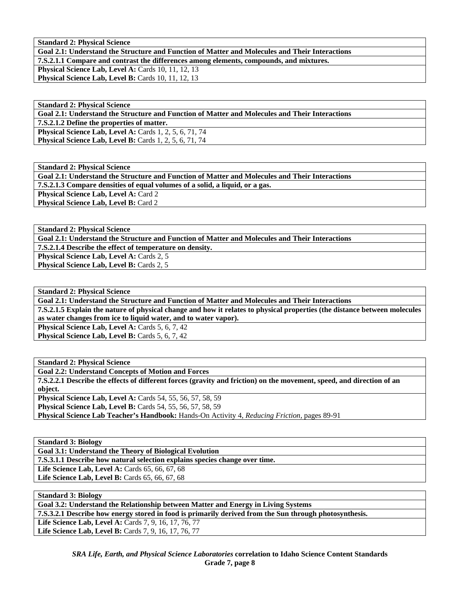**Standard 2: Physical Science** 

**Goal 2.1: Understand the Structure and Function of Matter and Molecules and Their Interactions** 

**7.S.2.1.1 Compare and contrast the differences among elements, compounds, and mixtures.** 

**Physical Science Lab, Level A: Cards 10, 11, 12, 13 Physical Science Lab, Level B: Cards 10, 11, 12, 13** 

**Standard 2: Physical Science Goal 2.1: Understand the Structure and Function of Matter and Molecules and Their Interactions 7.S.2.1.2 Define the properties of matter. Physical Science Lab, Level A: Cards 1, 2, 5, 6, 71, 74 Physical Science Lab, Level B:** Cards 1, 2, 5, 6, 71, 74

**Standard 2: Physical Science Goal 2.1: Understand the Structure and Function of Matter and Molecules and Their Interactions 7.S.2.1.3 Compare densities of equal volumes of a solid, a liquid, or a gas. Physical Science Lab, Level A: Card 2 Physical Science Lab, Level B: Card 2** 

**Standard 2: Physical Science** 

**Goal 2.1: Understand the Structure and Function of Matter and Molecules and Their Interactions** 

**7.S.2.1.4 Describe the effect of temperature on density.** 

Physical Science Lab, Level A: Cards 2, 5

**Physical Science Lab, Level B: Cards 2, 5** 

**Standard 2: Physical Science** 

**Goal 2.1: Understand the Structure and Function of Matter and Molecules and Their Interactions 7.S.2.1.5 Explain the nature of physical change and how it relates to physical properties (the distance between molecules as water changes from ice to liquid water, and to water vapor). Physical Science Lab, Level A: Cards 5, 6, 7, 42 Physical Science Lab, Level B: Cards 5, 6, 7, 42** 

**Standard 2: Physical Science Goal 2.2: Understand Concepts of Motion and Forces 7.S.2.2.1 Describe the effects of different forces (gravity and friction) on the movement, speed, and direction of an object. Physical Science Lab, Level A: Cards 54, 55, 56, 57, 58, 59 Physical Science Lab, Level B:** Cards 54, 55, 56, 57, 58, 59 **Physical Science Lab Teacher's Handbook:** Hands-On Activity 4, *Reducing Friction,* pages 89-91

**Standard 3: Biology** 

**Goal 3.1: Understand the Theory of Biological Evolution** 

**7.S.3.1.1 Describe how natural selection explains species change over time.** 

Life Science Lab, Level A: Cards 65, 66, 67, 68 **Life Science Lab, Level B:** Cards 65, 66, 67, 68

**Standard 3: Biology Goal 3.2: Understand the Relationship between Matter and Energy in Living Systems 7.S.3.2.1 Describe how energy stored in food is primarily derived from the Sun through photosynthesis.**  Life Science Lab, Level A: Cards 7, 9, 16, 17, 76, 77 Life Science Lab, Level B: Cards 7, 9, 16, 17, 76, 77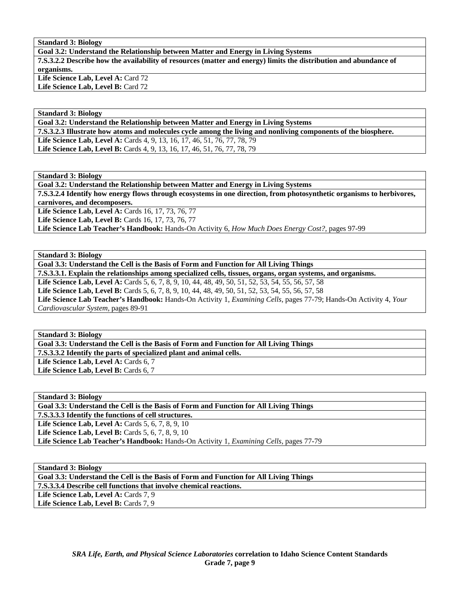# **Standard 3: Biology**

**Goal 3.2: Understand the Relationship between Matter and Energy in Living Systems 7.S.3.2.2 Describe how the availability of resources (matter and energy) limits the distribution and abundance of organisms.**  Life Science Lab, Level A: Card 72

Life Science Lab, Level B: Card 72

#### **Standard 3: Biology**

**Goal 3.2: Understand the Relationship between Matter and Energy in Living Systems** 

**7.S.3.2.3 Illustrate how atoms and molecules cycle among the living and nonliving components of the biosphere.** 

Life Science Lab, Level A: Cards 4, 9, 13, 16, 17, 46, 51, 76, 77, 78, 79 Life Science Lab, Level B: Cards 4, 9, 13, 16, 17, 46, 51, 76, 77, 78, 79

**Standard 3: Biology** 

**Goal 3.2: Understand the Relationship between Matter and Energy in Living Systems 7.S.3.2.4 Identify how energy flows through ecosystems in one direction, from photosynthetic organisms to herbivores, carnivores, and decomposers.** 

Life Science Lab, Level A: Cards 16, 17, 73, 76, 77 **Life Science Lab, Level B: Cards 16, 17, 73, 76, 77** 

**Life Science Lab Teacher's Handbook:** Hands-On Activity 6, *How Much Does Energy Cost?,* pages 97-99

**Standard 3: Biology** 

**Goal 3.3: Understand the Cell is the Basis of Form and Function for All Living Things 7.S.3.3.1. Explain the relationships among specialized cells, tissues, organs, organ systems, and organisms.** 

**Life Science Lab, Level A:** Cards 5, 6, 7, 8, 9, 10, 44, 48, 49, 50, 51, 52, 53, 54, 55, 56, 57, 58 Life Science Lab, Level B: Cards 5, 6, 7, 8, 9, 10, 44, 48, 49, 50, 51, 52, 53, 54, 55, 56, 57, 58 **Life Science Lab Teacher's Handbook:** Hands-On Activity 1, *Examining Cells,* pages 77-79; Hands-On Activity 4, *Your Cardiovascular System,* pages 89-91

**Standard 3: Biology** 

**Goal 3.3: Understand the Cell is the Basis of Form and Function for All Living Things** 

**7.S.3.3.2 Identify the parts of specialized plant and animal cells.** 

Life Science Lab, Level A: Cards 6, 7 Life Science Lab, Level B: Cards 6, 7

**Standard 3: Biology** 

**Goal 3.3: Understand the Cell is the Basis of Form and Function for All Living Things** 

**7.S.3.3.3 Identify the functions of cell structures.** 

**Life Science Lab, Level A: Cards 5, 6, 7, 8, 9, 10** 

**Life Science Lab, Level B:** Cards 5, 6, 7, 8, 9, 10

**Life Science Lab Teacher's Handbook:** Hands-On Activity 1, *Examining Cells,* pages 77-79

**Standard 3: Biology** 

**Goal 3.3: Understand the Cell is the Basis of Form and Function for All Living Things** 

**7.S.3.3.4 Describe cell functions that involve chemical reactions.** 

Life Science Lab, Level A: Cards 7, 9 Life Science Lab, Level B: Cards 7, 9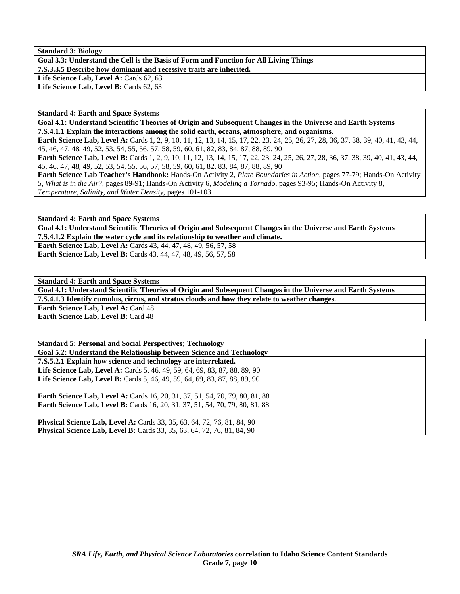**Standard 3: Biology Goal 3.3: Understand the Cell is the Basis of Form and Function for All Living Things 7.S.3.3.5 Describe how dominant and recessive traits are inherited.**  Life Science Lab, Level A: Cards 62, 63 Life Science Lab, Level B: Cards 62, 63

**Standard 4: Earth and Space Systems** 

**Goal 4.1: Understand Scientific Theories of Origin and Subsequent Changes in the Universe and Earth Systems 7.S.4.1.1 Explain the interactions among the solid earth, oceans, atmosphere, and organisms.** 

**Earth Science Lab, Level A:** Cards 1, 2, 9, 10, 11, 12, 13, 14, 15, 17, 22, 23, 24, 25, 26, 27, 28, 36, 37, 38, 39, 40, 41, 43, 44, 45, 46, 47, 48, 49, 52, 53, 54, 55, 56, 57, 58, 59, 60, 61, 82, 83, 84, 87, 88, 89, 90

Earth Science Lab, Level B: Cards 1, 2, 9, 10, 11, 12, 13, 14, 15, 17, 22, 23, 24, 25, 26, 27, 28, 36, 37, 38, 39, 40, 41, 43, 44, 45, 46, 47, 48, 49, 52, 53, 54, 55, 56, 57, 58, 59, 60, 61, 82, 83, 84, 87, 88, 89, 90

**Earth Science Lab Teacher's Handbook:** Hands-On Activity 2, *Plate Boundaries in Action,* pages 77-79; Hands-On Activity 5, *What is in the Air?,* pages 89-91; Hands-On Activity 6, *Modeling a Tornado,* pages 93-95; Hands-On Activity 8, *Temperature, Salinity, and Water Density,* pages 101-103

**Standard 4: Earth and Space Systems** 

**Goal 4.1: Understand Scientific Theories of Origin and Subsequent Changes in the Universe and Earth Systems 7.S.4.1.2 Explain the water cycle and its relationship to weather and climate.** 

**Earth Science Lab, Level A:** Cards 43, 44, 47, 48, 49, 56, 57, 58 **Earth Science Lab, Level B:** Cards 43, 44, 47, 48, 49, 56, 57, 58

**Standard 4: Earth and Space Systems** 

**Goal 4.1: Understand Scientific Theories of Origin and Subsequent Changes in the Universe and Earth Systems 7.S.4.1.3 Identify cumulus, cirrus, and stratus clouds and how they relate to weather changes.** 

**Earth Science Lab, Level A: Card 48** 

**Earth Science Lab, Level B: Card 48** 

**Standard 5: Personal and Social Perspectives; Technology Goal 5.2: Understand the Relationship between Science and Technology 7.S.5.2.1 Explain how science and technology are interrelated. Life Science Lab, Level A:** Cards 5, 46, 49, 59, 64, 69, 83, 87, 88, 89, 90 Life Science Lab, Level B: Cards 5, 46, 49, 59, 64, 69, 83, 87, 88, 89, 90 **Earth Science Lab, Level A: Cards 16, 20, 31, 37, 51, 54, 70, 79, 80, 81, 88 Earth Science Lab, Level B:** Cards 16, 20, 31, 37, 51, 54, 70, 79, 80, 81, 88 **Physical Science Lab, Level A:** Cards 33, 35, 63, 64, 72, 76, 81, 84, 90 **Physical Science Lab, Level B:** Cards 33, 35, 63, 64, 72, 76, 81, 84, 90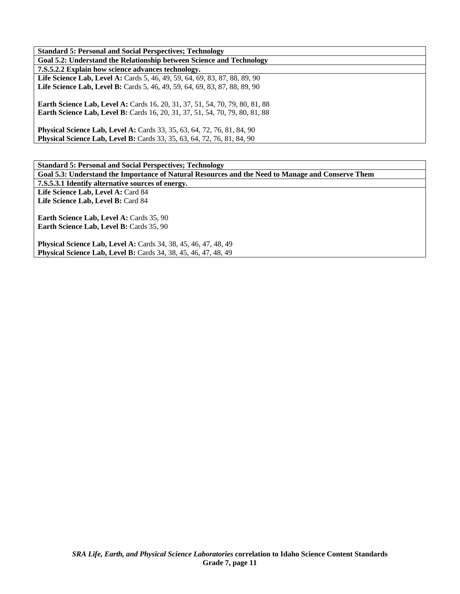| <b>Standard 5: Personal and Social Perspectives; Technology</b>                                                                                                     |
|---------------------------------------------------------------------------------------------------------------------------------------------------------------------|
| Goal 5.2: Understand the Relationship between Science and Technology                                                                                                |
| 7.S.5.2.2 Explain how science advances technology.                                                                                                                  |
| <b>Life Science Lab, Level A:</b> Cards 5, 46, 49, 59, 64, 69, 83, 87, 88, 89, 90                                                                                   |
| <b>Life Science Lab, Level B:</b> Cards 5, 46, 49, 59, 64, 69, 83, 87, 88, 89, 90                                                                                   |
| <b>Earth Science Lab, Level A:</b> Cards 16, 20, 31, 37, 51, 54, 70, 79, 80, 81, 88<br>Earth Science Lab, Level B: Cards 16, 20, 31, 37, 51, 54, 70, 79, 80, 81, 88 |
| <b>Physical Science Lab, Level A: Cards 33, 35, 63, 64, 72, 76, 81, 84, 90</b><br><b>Physical Science Lab, Level B:</b> Cards 33, 35, 63, 64, 72, 76, 81, 84, 90    |

| <b>Standard 5: Personal and Social Perspectives; Technology</b>                                   |
|---------------------------------------------------------------------------------------------------|
| Goal 5.3: Understand the Importance of Natural Resources and the Need to Manage and Conserve Them |
| 7.S.5.3.1 Identify alternative sources of energy.                                                 |
| Life Science Lab, Level A: Card 84                                                                |
| Life Science Lab, Level B: Card 84                                                                |
|                                                                                                   |
| <b>Earth Science Lab, Level A: Cards 35, 90</b>                                                   |
| Earth Science Lab, Level B: Cards 35, 90                                                          |
|                                                                                                   |
| Physical Science Lab, Level A: Cards 34, 38, 45, 46, 47, 48, 49                                   |
| <b>Physical Science Lab, Level B:</b> Cards 34, 38, 45, 46, 47, 48, 49                            |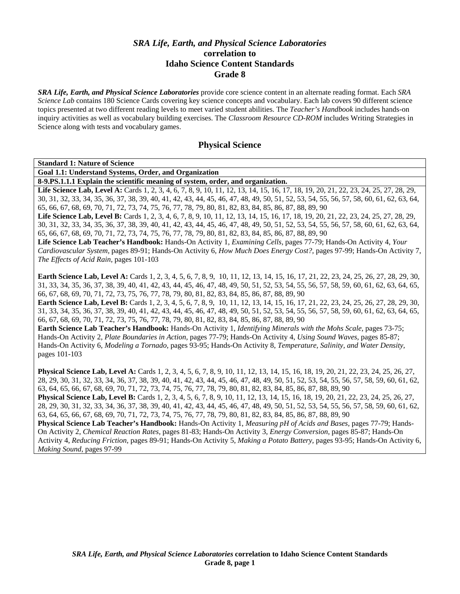# *SRA Life, Earth, and Physical Science Laboratories*  **correlation to Idaho Science Content Standards Grade 8**

*SRA Life, Earth, and Physical Science Laboratories* provide core science content in an alternate reading format. Each *SRA Science Lab* contains 180 Science Cards covering key science concepts and vocabulary. Each lab covers 90 different science topics presented at two different reading levels to meet varied student abilities. The *Teacher's Handbook* includes hands-on inquiry activities as well as vocabulary building exercises. The *Classroom Resource CD-ROM* includes Writing Strategies in Science along with tests and vocabulary games.

# **Physical Science**

**Standard 1: Nature of Science** 

**Goal 1.1: Understand Systems, Order, and Organization** 

**8-9.PS.1.1.1 Explain the scientific meaning of system, order, and organization.** 

Life Science Lab, Level A: Cards 1, 2, 3, 4, 6, 7, 8, 9, 10, 11, 12, 13, 14, 15, 16, 17, 18, 19, 20, 21, 22, 23, 24, 25, 27, 28, 29, 30, 31, 32, 33, 34, 35, 36, 37, 38, 39, 40, 41, 42, 43, 44, 45, 46, 47, 48, 49, 50, 51, 52, 53, 54, 55, 56, 57, 58, 60, 61, 62, 63, 64, 65, 66, 67, 68, 69, 70, 71, 72, 73, 74, 75, 76, 77, 78, 79, 80, 81, 82, 83, 84, 85, 86, 87, 88, 89, 90

Life Science Lab, Level B: Cards 1, 2, 3, 4, 6, 7, 8, 9, 10, 11, 12, 13, 14, 15, 16, 17, 18, 19, 20, 21, 22, 23, 24, 25, 27, 28, 29, 30, 31, 32, 33, 34, 35, 36, 37, 38, 39, 40, 41, 42, 43, 44, 45, 46, 47, 48, 49, 50, 51, 52, 53, 54, 55, 56, 57, 58, 60, 61, 62, 63, 64, 65, 66, 67, 68, 69, 70, 71, 72, 73, 74, 75, 76, 77, 78, 79, 80, 81, 82, 83, 84, 85, 86, 87, 88, 89, 90

**Life Science Lab Teacher's Handbook:** Hands-On Activity 1, *Examining Cells,* pages 77-79; Hands-On Activity 4, *Your Cardiovascular System,* pages 89-91; Hands-On Activity 6, *How Much Does Energy Cost?,* pages 97-99; Hands-On Activity 7, *The Effects of Acid Rain,* pages 101-103

Earth Science Lab, Level A: Cards 1, 2, 3, 4, 5, 6, 7, 8, 9, 10, 11, 12, 13, 14, 15, 16, 17, 21, 22, 23, 24, 25, 26, 27, 28, 29, 30, 31, 33, 34, 35, 36, 37, 38, 39, 40, 41, 42, 43, 44, 45, 46, 47, 48, 49, 50, 51, 52, 53, 54, 55, 56, 57, 58, 59, 60, 61, 62, 63, 64, 65, 66, 67, 68, 69, 70, 71, 72, 73, 75, 76, 77, 78, 79, 80, 81, 82, 83, 84, 85, 86, 87, 88, 89, 90

**Earth Science Lab, Level B:** Cards 1, 2, 3, 4, 5, 6, 7, 8, 9, 10, 11, 12, 13, 14, 15, 16, 17, 21, 22, 23, 24, 25, 26, 27, 28, 29, 30, 31, 33, 34, 35, 36, 37, 38, 39, 40, 41, 42, 43, 44, 45, 46, 47, 48, 49, 50, 51, 52, 53, 54, 55, 56, 57, 58, 59, 60, 61, 62, 63, 64, 65, 66, 67, 68, 69, 70, 71, 72, 73, 75, 76, 77, 78, 79, 80, 81, 82, 83, 84, 85, 86, 87, 88, 89, 90

**Earth Science Lab Teacher's Handbook:** Hands-On Activity 1, *Identifying Minerals with the Mohs Scale,* pages 73-75; Hands-On Activity 2, *Plate Boundaries in Action,* pages 77-79; Hands-On Activity 4, *Using Sound Waves,* pages 85-87; Hands-On Activity 6, *Modeling a Tornado,* pages 93-95; Hands-On Activity 8, *Temperature, Salinity, and Water Density,* pages 101-103

**Physical Science Lab, Level A:** Cards 1, 2, 3, 4, 5, 6, 7, 8, 9, 10, 11, 12, 13, 14, 15, 16, 18, 19, 20, 21, 22, 23, 24, 25, 26, 27, 28, 29, 30, 31, 32, 33, 34, 36, 37, 38, 39, 40, 41, 42, 43, 44, 45, 46, 47, 48, 49, 50, 51, 52, 53, 54, 55, 56, 57, 58, 59, 60, 61, 62, 63, 64, 65, 66, 67, 68, 69, 70, 71, 72, 73, 74, 75, 76, 77, 78, 79, 80, 81, 82, 83, 84, 85, 86, 87, 88, 89, 90 **Physical Science Lab, Level B:** Cards 1, 2, 3, 4, 5, 6, 7, 8, 9, 10, 11, 12, 13, 14, 15, 16, 18, 19, 20, 21, 22, 23, 24, 25, 26, 27,

28, 29, 30, 31, 32, 33, 34, 36, 37, 38, 39, 40, 41, 42, 43, 44, 45, 46, 47, 48, 49, 50, 51, 52, 53, 54, 55, 56, 57, 58, 59, 60, 61, 62, 63, 64, 65, 66, 67, 68, 69, 70, 71, 72, 73, 74, 75, 76, 77, 78, 79, 80, 81, 82, 83, 84, 85, 86, 87, 88, 89, 90

**Physical Science Lab Teacher's Handbook:** Hands-On Activity 1, *Measuring pH of Acids and Bases,* pages 77-79; Hands-On Activity 2, *Chemical Reaction Rates,* pages 81-83; Hands-On Activity 3, *Energy Conversion,* pages 85-87; Hands-On Activity 4, *Reducing Friction,* pages 89-91; Hands-On Activity 5, *Making a Potato Battery,* pages 93-95; Hands-On Activity 6, *Making Sound,* pages 97-99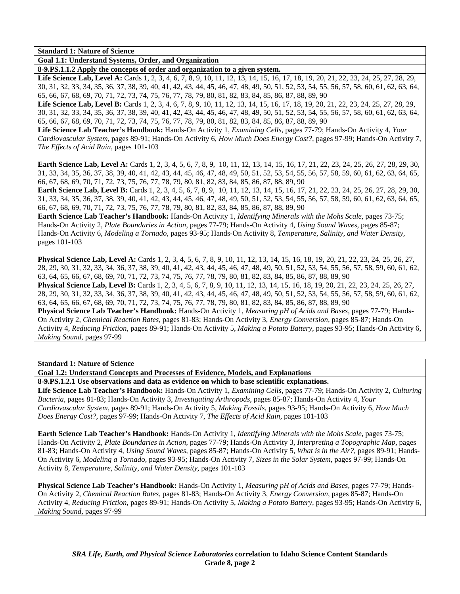**Goal 1.1: Understand Systems, Order, and Organization** 

**8-9.PS.1.1.2 Apply the concepts of order and organization to a given system.** 

Life Science Lab, Level A: Cards 1, 2, 3, 4, 6, 7, 8, 9, 10, 11, 12, 13, 14, 15, 16, 17, 18, 19, 20, 21, 22, 23, 24, 25, 27, 28, 29, 30, 31, 32, 33, 34, 35, 36, 37, 38, 39, 40, 41, 42, 43, 44, 45, 46, 47, 48, 49, 50, 51, 52, 53, 54, 55, 56, 57, 58, 60, 61, 62, 63, 64, 65, 66, 67, 68, 69, 70, 71, 72, 73, 74, 75, 76, 77, 78, 79, 80, 81, 82, 83, 84, 85, 86, 87, 88, 89, 90

Life Science Lab, Level B: Cards 1, 2, 3, 4, 6, 7, 8, 9, 10, 11, 12, 13, 14, 15, 16, 17, 18, 19, 20, 21, 22, 23, 24, 25, 27, 28, 29, 30, 31, 32, 33, 34, 35, 36, 37, 38, 39, 40, 41, 42, 43, 44, 45, 46, 47, 48, 49, 50, 51, 52, 53, 54, 55, 56, 57, 58, 60, 61, 62, 63, 64, 65, 66, 67, 68, 69, 70, 71, 72, 73, 74, 75, 76, 77, 78, 79, 80, 81, 82, 83, 84, 85, 86, 87, 88, 89, 90

**Life Science Lab Teacher's Handbook:** Hands-On Activity 1, *Examining Cells,* pages 77-79; Hands-On Activity 4, *Your Cardiovascular System,* pages 89-91; Hands-On Activity 6, *How Much Does Energy Cost?,* pages 97-99; Hands-On Activity 7, *The Effects of Acid Rain,* pages 101-103

**Earth Science Lab, Level A:** Cards 1, 2, 3, 4, 5, 6, 7, 8, 9, 10, 11, 12, 13, 14, 15, 16, 17, 21, 22, 23, 24, 25, 26, 27, 28, 29, 30, 31, 33, 34, 35, 36, 37, 38, 39, 40, 41, 42, 43, 44, 45, 46, 47, 48, 49, 50, 51, 52, 53, 54, 55, 56, 57, 58, 59, 60, 61, 62, 63, 64, 65, 66, 67, 68, 69, 70, 71, 72, 73, 75, 76, 77, 78, 79, 80, 81, 82, 83, 84, 85, 86, 87, 88, 89, 90

**Earth Science Lab, Level B:** Cards 1, 2, 3, 4, 5, 6, 7, 8, 9, 10, 11, 12, 13, 14, 15, 16, 17, 21, 22, 23, 24, 25, 26, 27, 28, 29, 30, 31, 33, 34, 35, 36, 37, 38, 39, 40, 41, 42, 43, 44, 45, 46, 47, 48, 49, 50, 51, 52, 53, 54, 55, 56, 57, 58, 59, 60, 61, 62, 63, 64, 65, 66, 67, 68, 69, 70, 71, 72, 73, 75, 76, 77, 78, 79, 80, 81, 82, 83, 84, 85, 86, 87, 88, 89, 90

**Earth Science Lab Teacher's Handbook:** Hands-On Activity 1, *Identifying Minerals with the Mohs Scale,* pages 73-75; Hands-On Activity 2, *Plate Boundaries in Action,* pages 77-79; Hands-On Activity 4, *Using Sound Waves,* pages 85-87; Hands-On Activity 6, *Modeling a Tornado,* pages 93-95; Hands-On Activity 8, *Temperature, Salinity, and Water Density,* pages 101-103

**Physical Science Lab, Level A:** Cards 1, 2, 3, 4, 5, 6, 7, 8, 9, 10, 11, 12, 13, 14, 15, 16, 18, 19, 20, 21, 22, 23, 24, 25, 26, 27, 28, 29, 30, 31, 32, 33, 34, 36, 37, 38, 39, 40, 41, 42, 43, 44, 45, 46, 47, 48, 49, 50, 51, 52, 53, 54, 55, 56, 57, 58, 59, 60, 61, 62, 63, 64, 65, 66, 67, 68, 69, 70, 71, 72, 73, 74, 75, 76, 77, 78, 79, 80, 81, 82, 83, 84, 85, 86, 87, 88, 89, 90

**Physical Science Lab, Level B:** Cards 1, 2, 3, 4, 5, 6, 7, 8, 9, 10, 11, 12, 13, 14, 15, 16, 18, 19, 20, 21, 22, 23, 24, 25, 26, 27, 28, 29, 30, 31, 32, 33, 34, 36, 37, 38, 39, 40, 41, 42, 43, 44, 45, 46, 47, 48, 49, 50, 51, 52, 53, 54, 55, 56, 57, 58, 59, 60, 61, 62, 63, 64, 65, 66, 67, 68, 69, 70, 71, 72, 73, 74, 75, 76, 77, 78, 79, 80, 81, 82, 83, 84, 85, 86, 87, 88, 89, 90

**Physical Science Lab Teacher's Handbook:** Hands-On Activity 1, *Measuring pH of Acids and Bases,* pages 77-79; Hands-On Activity 2, *Chemical Reaction Rates,* pages 81-83; Hands-On Activity 3, *Energy Conversion,* pages 85-87; Hands-On Activity 4, *Reducing Friction,* pages 89-91; Hands-On Activity 5, *Making a Potato Battery,* pages 93-95; Hands-On Activity 6, *Making Sound,* pages 97-99

**Standard 1: Nature of Science** 

**Goal 1.2: Understand Concepts and Processes of Evidence, Models, and Explanations** 

**8-9.PS.1.2.1 Use observations and data as evidence on which to base scientific explanations.** 

**Life Science Lab Teacher's Handbook:** Hands-On Activity 1, *Examining Cells,* pages 77-79; Hands-On Activity 2, *Culturing Bacteria,* pages 81-83; Hands-On Activity 3, *Investigating Arthropods,* pages 85-87; Hands-On Activity 4, *Your Cardiovascular System,* pages 89-91; Hands-On Activity 5, *Making Fossils,* pages 93-95; Hands-On Activity 6, *How Much Does Energy Cost?,* pages 97-99; Hands-On Activity 7, *The Effects of Acid Rain,* pages 101-103

**Earth Science Lab Teacher's Handbook:** Hands-On Activity 1, *Identifying Minerals with the Mohs Scale,* pages 73-75; Hands-On Activity 2, *Plate Boundaries in Action,* pages 77-79; Hands-On Activity 3, *Interpreting a Topographic Map,* pages 81-83; Hands-On Activity 4, *Using Sound Waves,* pages 85-87; Hands-On Activity 5, *What is in the Air?,* pages 89-91; Hands-On Activity 6, *Modeling a Tornado,* pages 93-95; Hands-On Activity 7, *Sizes in the Solar System,* pages 97-99; Hands-On Activity 8, *Temperature, Salinity, and Water Density,* pages 101-103

**Physical Science Lab Teacher's Handbook:** Hands-On Activity 1, *Measuring pH of Acids and Bases,* pages 77-79; Hands-On Activity 2, *Chemical Reaction Rates,* pages 81-83; Hands-On Activity 3, *Energy Conversion,* pages 85-87; Hands-On Activity 4, *Reducing Friction,* pages 89-91; Hands-On Activity 5, *Making a Potato Battery,* pages 93-95; Hands-On Activity 6, *Making Sound,* pages 97-99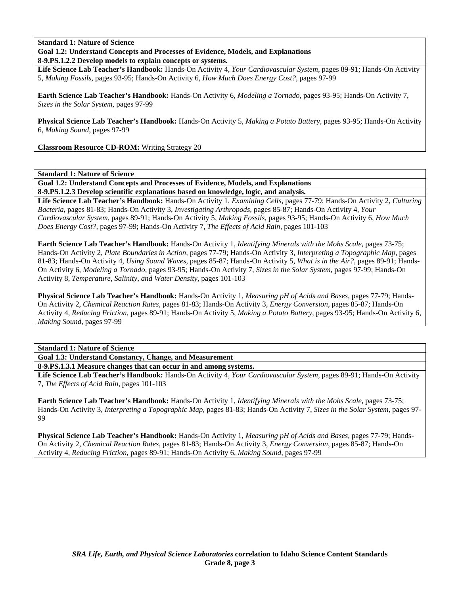**Goal 1.2: Understand Concepts and Processes of Evidence, Models, and Explanations** 

**8-9.PS.1.2.2 Develop models to explain concepts or systems.** 

**Life Science Lab Teacher's Handbook:** Hands-On Activity 4, *Your Cardiovascular System,* pages 89-91; Hands-On Activity 5, *Making Fossils,* pages 93-95; Hands-On Activity 6, *How Much Does Energy Cost?,* pages 97-99

**Earth Science Lab Teacher's Handbook:** Hands-On Activity 6, *Modeling a Tornado,* pages 93-95; Hands-On Activity 7, *Sizes in the Solar System,* pages 97-99

**Physical Science Lab Teacher's Handbook:** Hands-On Activity 5, *Making a Potato Battery,* pages 93-95; Hands-On Activity 6, *Making Sound,* pages 97-99

**Classroom Resource CD-ROM:** Writing Strategy 20

**Standard 1: Nature of Science** 

**Goal 1.2: Understand Concepts and Processes of Evidence, Models, and Explanations 8-9.PS.1.2.3 Develop scientific explanations based on knowledge, logic, and analysis.** 

**Life Science Lab Teacher's Handbook:** Hands-On Activity 1, *Examining Cells,* pages 77-79; Hands-On Activity 2, *Culturing Bacteria,* pages 81-83; Hands-On Activity 3, *Investigating Arthropods,* pages 85-87; Hands-On Activity 4, *Your Cardiovascular System,* pages 89-91; Hands-On Activity 5, *Making Fossils,* pages 93-95; Hands-On Activity 6, *How Much Does Energy Cost?,* pages 97-99; Hands-On Activity 7, *The Effects of Acid Rain,* pages 101-103

**Earth Science Lab Teacher's Handbook:** Hands-On Activity 1, *Identifying Minerals with the Mohs Scale,* pages 73-75; Hands-On Activity 2, *Plate Boundaries in Action,* pages 77-79; Hands-On Activity 3, *Interpreting a Topographic Map,* pages 81-83; Hands-On Activity 4, *Using Sound Waves,* pages 85-87; Hands-On Activity 5, *What is in the Air?,* pages 89-91; Hands-On Activity 6, *Modeling a Tornado,* pages 93-95; Hands-On Activity 7, *Sizes in the Solar System,* pages 97-99; Hands-On Activity 8, *Temperature, Salinity, and Water Density,* pages 101-103

**Physical Science Lab Teacher's Handbook:** Hands-On Activity 1, *Measuring pH of Acids and Bases,* pages 77-79; Hands-On Activity 2, *Chemical Reaction Rates,* pages 81-83; Hands-On Activity 3, *Energy Conversion,* pages 85-87; Hands-On Activity 4, *Reducing Friction,* pages 89-91; Hands-On Activity 5, *Making a Potato Battery,* pages 93-95; Hands-On Activity 6, *Making Sound,* pages 97-99

**Standard 1: Nature of Science** 

**Goal 1.3: Understand Constancy, Change, and Measurement** 

**8-9.PS.1.3.1 Measure changes that can occur in and among systems.** 

**Life Science Lab Teacher's Handbook:** Hands-On Activity 4, *Your Cardiovascular System,* pages 89-91; Hands-On Activity 7, *The Effects of Acid Rain,* pages 101-103

**Earth Science Lab Teacher's Handbook:** Hands-On Activity 1, *Identifying Minerals with the Mohs Scale,* pages 73-75; Hands-On Activity 3, *Interpreting a Topographic Map,* pages 81-83; Hands-On Activity 7, *Sizes in the Solar System,* pages 97- 99

**Physical Science Lab Teacher's Handbook:** Hands-On Activity 1, *Measuring pH of Acids and Bases,* pages 77-79; Hands-On Activity 2, *Chemical Reaction Rates,* pages 81-83; Hands-On Activity 3, *Energy Conversion,* pages 85-87; Hands-On Activity 4, *Reducing Friction,* pages 89-91; Hands-On Activity 6, *Making Sound,* pages 97-99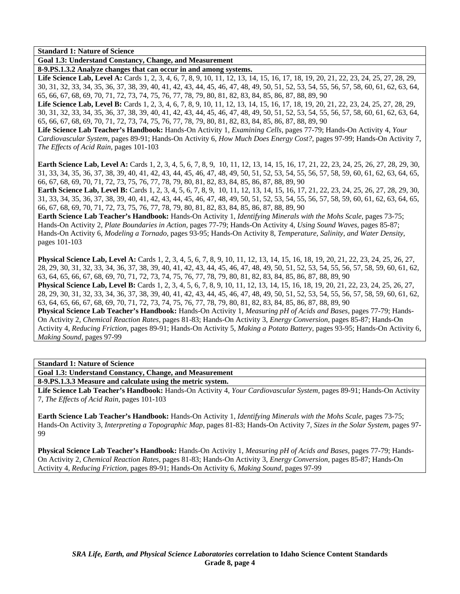**Goal 1.3: Understand Constancy, Change, and Measurement** 

**8-9.PS.1.3.2 Analyze changes that can occur in and among systems.** 

Life Science Lab, Level A: Cards 1, 2, 3, 4, 6, 7, 8, 9, 10, 11, 12, 13, 14, 15, 16, 17, 18, 19, 20, 21, 22, 23, 24, 25, 27, 28, 29, 30, 31, 32, 33, 34, 35, 36, 37, 38, 39, 40, 41, 42, 43, 44, 45, 46, 47, 48, 49, 50, 51, 52, 53, 54, 55, 56, 57, 58, 60, 61, 62, 63, 64, 65, 66, 67, 68, 69, 70, 71, 72, 73, 74, 75, 76, 77, 78, 79, 80, 81, 82, 83, 84, 85, 86, 87, 88, 89, 90

Life Science Lab, Level B: Cards 1, 2, 3, 4, 6, 7, 8, 9, 10, 11, 12, 13, 14, 15, 16, 17, 18, 19, 20, 21, 22, 23, 24, 25, 27, 28, 29, 30, 31, 32, 33, 34, 35, 36, 37, 38, 39, 40, 41, 42, 43, 44, 45, 46, 47, 48, 49, 50, 51, 52, 53, 54, 55, 56, 57, 58, 60, 61, 62, 63, 64, 65, 66, 67, 68, 69, 70, 71, 72, 73, 74, 75, 76, 77, 78, 79, 80, 81, 82, 83, 84, 85, 86, 87, 88, 89, 90

**Life Science Lab Teacher's Handbook:** Hands-On Activity 1, *Examining Cells,* pages 77-79; Hands-On Activity 4, *Your Cardiovascular System,* pages 89-91; Hands-On Activity 6, *How Much Does Energy Cost?,* pages 97-99; Hands-On Activity 7, *The Effects of Acid Rain,* pages 101-103

**Earth Science Lab, Level A:** Cards 1, 2, 3, 4, 5, 6, 7, 8, 9, 10, 11, 12, 13, 14, 15, 16, 17, 21, 22, 23, 24, 25, 26, 27, 28, 29, 30, 31, 33, 34, 35, 36, 37, 38, 39, 40, 41, 42, 43, 44, 45, 46, 47, 48, 49, 50, 51, 52, 53, 54, 55, 56, 57, 58, 59, 60, 61, 62, 63, 64, 65, 66, 67, 68, 69, 70, 71, 72, 73, 75, 76, 77, 78, 79, 80, 81, 82, 83, 84, 85, 86, 87, 88, 89, 90

**Earth Science Lab, Level B:** Cards 1, 2, 3, 4, 5, 6, 7, 8, 9, 10, 11, 12, 13, 14, 15, 16, 17, 21, 22, 23, 24, 25, 26, 27, 28, 29, 30, 31, 33, 34, 35, 36, 37, 38, 39, 40, 41, 42, 43, 44, 45, 46, 47, 48, 49, 50, 51, 52, 53, 54, 55, 56, 57, 58, 59, 60, 61, 62, 63, 64, 65, 66, 67, 68, 69, 70, 71, 72, 73, 75, 76, 77, 78, 79, 80, 81, 82, 83, 84, 85, 86, 87, 88, 89, 90

**Earth Science Lab Teacher's Handbook:** Hands-On Activity 1, *Identifying Minerals with the Mohs Scale,* pages 73-75; Hands-On Activity 2, *Plate Boundaries in Action,* pages 77-79; Hands-On Activity 4, *Using Sound Waves,* pages 85-87; Hands-On Activity 6, *Modeling a Tornado,* pages 93-95; Hands-On Activity 8, *Temperature, Salinity, and Water Density,* pages 101-103

**Physical Science Lab, Level A:** Cards 1, 2, 3, 4, 5, 6, 7, 8, 9, 10, 11, 12, 13, 14, 15, 16, 18, 19, 20, 21, 22, 23, 24, 25, 26, 27, 28, 29, 30, 31, 32, 33, 34, 36, 37, 38, 39, 40, 41, 42, 43, 44, 45, 46, 47, 48, 49, 50, 51, 52, 53, 54, 55, 56, 57, 58, 59, 60, 61, 62, 63, 64, 65, 66, 67, 68, 69, 70, 71, 72, 73, 74, 75, 76, 77, 78, 79, 80, 81, 82, 83, 84, 85, 86, 87, 88, 89, 90

**Physical Science Lab, Level B:** Cards 1, 2, 3, 4, 5, 6, 7, 8, 9, 10, 11, 12, 13, 14, 15, 16, 18, 19, 20, 21, 22, 23, 24, 25, 26, 27, 28, 29, 30, 31, 32, 33, 34, 36, 37, 38, 39, 40, 41, 42, 43, 44, 45, 46, 47, 48, 49, 50, 51, 52, 53, 54, 55, 56, 57, 58, 59, 60, 61, 62, 63, 64, 65, 66, 67, 68, 69, 70, 71, 72, 73, 74, 75, 76, 77, 78, 79, 80, 81, 82, 83, 84, 85, 86, 87, 88, 89, 90

**Physical Science Lab Teacher's Handbook:** Hands-On Activity 1, *Measuring pH of Acids and Bases,* pages 77-79; Hands-On Activity 2, *Chemical Reaction Rates,* pages 81-83; Hands-On Activity 3, *Energy Conversion,* pages 85-87; Hands-On Activity 4, *Reducing Friction,* pages 89-91; Hands-On Activity 5, *Making a Potato Battery,* pages 93-95; Hands-On Activity 6, *Making Sound,* pages 97-99

# **Standard 1: Nature of Science**

**Goal 1.3: Understand Constancy, Change, and Measurement** 

**8-9.PS.1.3.3 Measure and calculate using the metric system.** 

**Life Science Lab Teacher's Handbook:** Hands-On Activity 4, *Your Cardiovascular System,* pages 89-91; Hands-On Activity 7, *The Effects of Acid Rain,* pages 101-103

**Earth Science Lab Teacher's Handbook:** Hands-On Activity 1, *Identifying Minerals with the Mohs Scale,* pages 73-75; Hands-On Activity 3, *Interpreting a Topographic Map,* pages 81-83; Hands-On Activity 7, *Sizes in the Solar System,* pages 97- 99

**Physical Science Lab Teacher's Handbook:** Hands-On Activity 1, *Measuring pH of Acids and Bases,* pages 77-79; Hands-On Activity 2, *Chemical Reaction Rates,* pages 81-83; Hands-On Activity 3, *Energy Conversion,* pages 85-87; Hands-On Activity 4, *Reducing Friction,* pages 89-91; Hands-On Activity 6, *Making Sound,* pages 97-99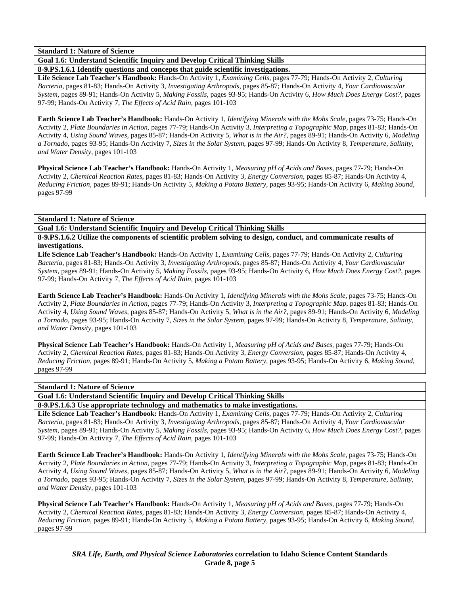**Goal 1.6: Understand Scientific Inquiry and Develop Critical Thinking Skills** 

**8-9.PS.1.6.1 Identify questions and concepts that guide scientific investigations.** 

**Life Science Lab Teacher's Handbook:** Hands-On Activity 1, *Examining Cells,* pages 77-79; Hands-On Activity 2, *Culturing Bacteria,* pages 81-83; Hands-On Activity 3, *Investigating Arthropods,* pages 85-87; Hands-On Activity 4, *Your Cardiovascular System,* pages 89-91; Hands-On Activity 5, *Making Fossils,* pages 93-95; Hands-On Activity 6, *How Much Does Energy Cost?,* pages 97-99; Hands-On Activity 7, *The Effects of Acid Rain,* pages 101-103

**Earth Science Lab Teacher's Handbook:** Hands-On Activity 1, *Identifying Minerals with the Mohs Scale,* pages 73-75; Hands-On Activity 2, *Plate Boundaries in Action,* pages 77-79; Hands-On Activity 3, *Interpreting a Topographic Map,* pages 81-83; Hands-On Activity 4, *Using Sound Waves,* pages 85-87; Hands-On Activity 5, *What is in the Air?,* pages 89-91; Hands-On Activity 6, *Modeling a Tornado,* pages 93-95; Hands-On Activity 7, *Sizes in the Solar System,* pages 97-99; Hands-On Activity 8, *Temperature, Salinity, and Water Density,* pages 101-103

**Physical Science Lab Teacher's Handbook:** Hands-On Activity 1, *Measuring pH of Acids and Bases,* pages 77-79; Hands-On Activity 2, *Chemical Reaction Rates,* pages 81-83; Hands-On Activity 3, *Energy Conversion,* pages 85-87; Hands-On Activity 4, *Reducing Friction,* pages 89-91; Hands-On Activity 5, *Making a Potato Battery,* pages 93-95; Hands-On Activity 6, *Making Sound,* pages 97-99

#### **Standard 1: Nature of Science**

**Goal 1.6: Understand Scientific Inquiry and Develop Critical Thinking Skills** 

**8-9.PS.1.6.2 Utilize the components of scientific problem solving to design, conduct, and communicate results of investigations.** 

**Life Science Lab Teacher's Handbook:** Hands-On Activity 1, *Examining Cells,* pages 77-79; Hands-On Activity 2, *Culturing Bacteria,* pages 81-83; Hands-On Activity 3, *Investigating Arthropods,* pages 85-87; Hands-On Activity 4, *Your Cardiovascular System,* pages 89-91; Hands-On Activity 5, *Making Fossils,* pages 93-95; Hands-On Activity 6, *How Much Does Energy Cost?,* pages 97-99; Hands-On Activity 7, *The Effects of Acid Rain,* pages 101-103

**Earth Science Lab Teacher's Handbook:** Hands-On Activity 1, *Identifying Minerals with the Mohs Scale,* pages 73-75; Hands-On Activity 2, *Plate Boundaries in Action,* pages 77-79; Hands-On Activity 3, *Interpreting a Topographic Map,* pages 81-83; Hands-On Activity 4, *Using Sound Waves,* pages 85-87; Hands-On Activity 5, *What is in the Air?,* pages 89-91; Hands-On Activity 6, *Modeling a Tornado,* pages 93-95; Hands-On Activity 7, *Sizes in the Solar System,* pages 97-99; Hands-On Activity 8, *Temperature, Salinity, and Water Density,* pages 101-103

**Physical Science Lab Teacher's Handbook:** Hands-On Activity 1, *Measuring pH of Acids and Bases,* pages 77-79; Hands-On Activity 2, *Chemical Reaction Rates,* pages 81-83; Hands-On Activity 3, *Energy Conversion,* pages 85-87; Hands-On Activity 4, *Reducing Friction,* pages 89-91; Hands-On Activity 5, *Making a Potato Battery,* pages 93-95; Hands-On Activity 6, *Making Sound,* pages 97-99

# **Standard 1: Nature of Science**

**Goal 1.6: Understand Scientific Inquiry and Develop Critical Thinking Skills** 

**8-9.PS.1.6.3 Use appropriate technology and mathematics to make investigations.** 

**Life Science Lab Teacher's Handbook:** Hands-On Activity 1, *Examining Cells,* pages 77-79; Hands-On Activity 2, *Culturing Bacteria,* pages 81-83; Hands-On Activity 3, *Investigating Arthropods,* pages 85-87; Hands-On Activity 4, *Your Cardiovascular System,* pages 89-91; Hands-On Activity 5, *Making Fossils,* pages 93-95; Hands-On Activity 6, *How Much Does Energy Cost?,* pages 97-99; Hands-On Activity 7, *The Effects of Acid Rain,* pages 101-103

**Earth Science Lab Teacher's Handbook:** Hands-On Activity 1, *Identifying Minerals with the Mohs Scale,* pages 73-75; Hands-On Activity 2, *Plate Boundaries in Action,* pages 77-79; Hands-On Activity 3, *Interpreting a Topographic Map,* pages 81-83; Hands-On Activity 4, *Using Sound Waves,* pages 85-87; Hands-On Activity 5, *What is in the Air?,* pages 89-91; Hands-On Activity 6, *Modeling a Tornado,* pages 93-95; Hands-On Activity 7, *Sizes in the Solar System,* pages 97-99; Hands-On Activity 8, *Temperature, Salinity, and Water Density,* pages 101-103

**Physical Science Lab Teacher's Handbook:** Hands-On Activity 1, *Measuring pH of Acids and Bases,* pages 77-79; Hands-On Activity 2, *Chemical Reaction Rates,* pages 81-83; Hands-On Activity 3, *Energy Conversion,* pages 85-87; Hands-On Activity 4, *Reducing Friction,* pages 89-91; Hands-On Activity 5, *Making a Potato Battery,* pages 93-95; Hands-On Activity 6, *Making Sound,* pages 97-99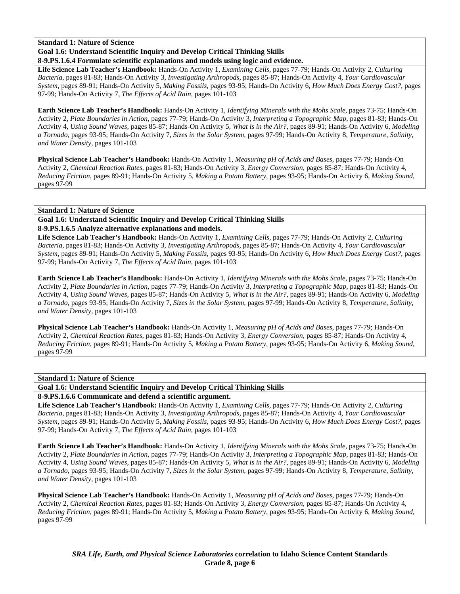**Goal 1.6: Understand Scientific Inquiry and Develop Critical Thinking Skills** 

**8-9.PS.1.6.4 Formulate scientific explanations and models using logic and evidence.** 

**Life Science Lab Teacher's Handbook:** Hands-On Activity 1, *Examining Cells,* pages 77-79; Hands-On Activity 2, *Culturing Bacteria,* pages 81-83; Hands-On Activity 3, *Investigating Arthropods,* pages 85-87; Hands-On Activity 4, *Your Cardiovascular System,* pages 89-91; Hands-On Activity 5, *Making Fossils,* pages 93-95; Hands-On Activity 6, *How Much Does Energy Cost?,* pages 97-99; Hands-On Activity 7, *The Effects of Acid Rain,* pages 101-103

**Earth Science Lab Teacher's Handbook:** Hands-On Activity 1, *Identifying Minerals with the Mohs Scale,* pages 73-75; Hands-On Activity 2, *Plate Boundaries in Action,* pages 77-79; Hands-On Activity 3, *Interpreting a Topographic Map,* pages 81-83; Hands-On Activity 4, *Using Sound Waves,* pages 85-87; Hands-On Activity 5, *What is in the Air?,* pages 89-91; Hands-On Activity 6, *Modeling a Tornado,* pages 93-95; Hands-On Activity 7, *Sizes in the Solar System,* pages 97-99; Hands-On Activity 8, *Temperature, Salinity, and Water Density,* pages 101-103

**Physical Science Lab Teacher's Handbook:** Hands-On Activity 1, *Measuring pH of Acids and Bases,* pages 77-79; Hands-On Activity 2, *Chemical Reaction Rates,* pages 81-83; Hands-On Activity 3, *Energy Conversion,* pages 85-87; Hands-On Activity 4, *Reducing Friction,* pages 89-91; Hands-On Activity 5, *Making a Potato Battery,* pages 93-95; Hands-On Activity 6, *Making Sound,* pages 97-99

**Standard 1: Nature of Science** 

# **Goal 1.6: Understand Scientific Inquiry and Develop Critical Thinking Skills**

**8-9.PS.1.6.5 Analyze alternative explanations and models.** 

**Life Science Lab Teacher's Handbook:** Hands-On Activity 1, *Examining Cells,* pages 77-79; Hands-On Activity 2, *Culturing Bacteria,* pages 81-83; Hands-On Activity 3, *Investigating Arthropods,* pages 85-87; Hands-On Activity 4, *Your Cardiovascular System,* pages 89-91; Hands-On Activity 5, *Making Fossils,* pages 93-95; Hands-On Activity 6, *How Much Does Energy Cost?,* pages 97-99; Hands-On Activity 7, *The Effects of Acid Rain,* pages 101-103

**Earth Science Lab Teacher's Handbook:** Hands-On Activity 1, *Identifying Minerals with the Mohs Scale,* pages 73-75; Hands-On Activity 2, *Plate Boundaries in Action,* pages 77-79; Hands-On Activity 3, *Interpreting a Topographic Map,* pages 81-83; Hands-On Activity 4, *Using Sound Waves,* pages 85-87; Hands-On Activity 5, *What is in the Air?,* pages 89-91; Hands-On Activity 6, *Modeling a Tornado,* pages 93-95; Hands-On Activity 7, *Sizes in the Solar System,* pages 97-99; Hands-On Activity 8, *Temperature, Salinity, and Water Density,* pages 101-103

**Physical Science Lab Teacher's Handbook:** Hands-On Activity 1, *Measuring pH of Acids and Bases,* pages 77-79; Hands-On Activity 2, *Chemical Reaction Rates,* pages 81-83; Hands-On Activity 3, *Energy Conversion,* pages 85-87; Hands-On Activity 4, *Reducing Friction,* pages 89-91; Hands-On Activity 5, *Making a Potato Battery,* pages 93-95; Hands-On Activity 6, *Making Sound,* pages 97-99

# **Standard 1: Nature of Science**

**Goal 1.6: Understand Scientific Inquiry and Develop Critical Thinking Skills** 

**8-9.PS.1.6.6 Communicate and defend a scientific argument.** 

**Life Science Lab Teacher's Handbook:** Hands-On Activity 1, *Examining Cells,* pages 77-79; Hands-On Activity 2, *Culturing Bacteria,* pages 81-83; Hands-On Activity 3, *Investigating Arthropods,* pages 85-87; Hands-On Activity 4, *Your Cardiovascular System,* pages 89-91; Hands-On Activity 5, *Making Fossils,* pages 93-95; Hands-On Activity 6, *How Much Does Energy Cost?,* pages 97-99; Hands-On Activity 7, *The Effects of Acid Rain,* pages 101-103

**Earth Science Lab Teacher's Handbook:** Hands-On Activity 1, *Identifying Minerals with the Mohs Scale,* pages 73-75; Hands-On Activity 2, *Plate Boundaries in Action,* pages 77-79; Hands-On Activity 3, *Interpreting a Topographic Map,* pages 81-83; Hands-On Activity 4, *Using Sound Waves,* pages 85-87; Hands-On Activity 5, *What is in the Air?,* pages 89-91; Hands-On Activity 6, *Modeling a Tornado,* pages 93-95; Hands-On Activity 7, *Sizes in the Solar System,* pages 97-99; Hands-On Activity 8, *Temperature, Salinity, and Water Density,* pages 101-103

**Physical Science Lab Teacher's Handbook:** Hands-On Activity 1, *Measuring pH of Acids and Bases,* pages 77-79; Hands-On Activity 2, *Chemical Reaction Rates,* pages 81-83; Hands-On Activity 3, *Energy Conversion,* pages 85-87; Hands-On Activity 4, *Reducing Friction,* pages 89-91; Hands-On Activity 5, *Making a Potato Battery,* pages 93-95; Hands-On Activity 6, *Making Sound,* pages 97-99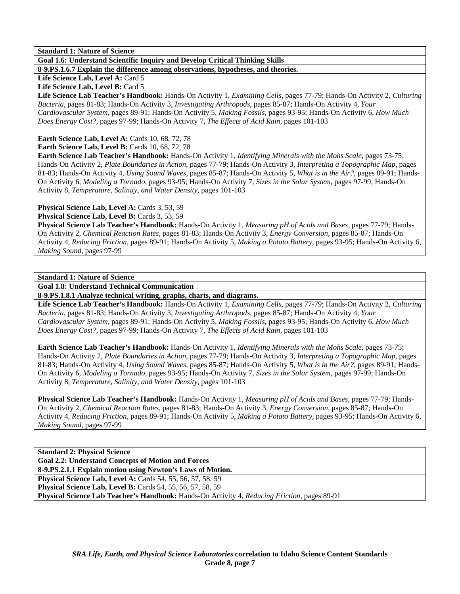**Goal 1.6: Understand Scientific Inquiry and Develop Critical Thinking Skills** 

**8-9.PS.1.6.7 Explain the difference among observations, hypotheses, and theories.** 

Life Science Lab, Level A: Card 5

Life Science Lab, Level B: Card 5

**Life Science Lab Teacher's Handbook:** Hands-On Activity 1, *Examining Cells,* pages 77-79; Hands-On Activity 2, *Culturing Bacteria,* pages 81-83; Hands-On Activity 3, *Investigating Arthropods,* pages 85-87; Hands-On Activity 4, *Your Cardiovascular System,* pages 89-91; Hands-On Activity 5, *Making Fossils,* pages 93-95; Hands-On Activity 6, *How Much Does Energy Cost?,* pages 97-99; Hands-On Activity 7, *The Effects of Acid Rain,* pages 101-103

**Earth Science Lab, Level A: Cards 10, 68, 72, 78** 

**Earth Science Lab, Level B: Cards 10, 68, 72, 78** 

**Earth Science Lab Teacher's Handbook:** Hands-On Activity 1, *Identifying Minerals with the Mohs Scale,* pages 73-75; Hands-On Activity 2, *Plate Boundaries in Action,* pages 77-79; Hands-On Activity 3, *Interpreting a Topographic Map,* pages 81-83; Hands-On Activity 4, *Using Sound Waves,* pages 85-87; Hands-On Activity 5, *What is in the Air?,* pages 89-91; Hands-On Activity 6, *Modeling a Tornado,* pages 93-95; Hands-On Activity 7, *Sizes in the Solar System,* pages 97-99; Hands-On Activity 8, *Temperature, Salinity, and Water Density,* pages 101-103

**Physical Science Lab, Level A: Cards 3, 53, 59** 

**Physical Science Lab, Level B: Cards 3, 53, 59** 

**Physical Science Lab Teacher's Handbook:** Hands-On Activity 1, *Measuring pH of Acids and Bases,* pages 77-79; Hands-On Activity 2, *Chemical Reaction Rates,* pages 81-83; Hands-On Activity 3, *Energy Conversion,* pages 85-87; Hands-On Activity 4, *Reducing Friction,* pages 89-91; Hands-On Activity 5, *Making a Potato Battery,* pages 93-95; Hands-On Activity 6, *Making Sound,* pages 97-99

**Standard 1: Nature of Science** 

**Goal 1.8: Understand Technical Communication** 

**8-9.PS.1.8.1 Analyze technical writing, graphs, charts, and diagrams.** 

**Life Science Lab Teacher's Handbook:** Hands-On Activity 1, *Examining Cells,* pages 77-79; Hands-On Activity 2, *Culturing Bacteria,* pages 81-83; Hands-On Activity 3, *Investigating Arthropods,* pages 85-87; Hands-On Activity 4, *Your Cardiovascular System,* pages 89-91; Hands-On Activity 5, *Making Fossils,* pages 93-95; Hands-On Activity 6, *How Much Does Energy Cost?,* pages 97-99; Hands-On Activity 7, *The Effects of Acid Rain,* pages 101-103

**Earth Science Lab Teacher's Handbook:** Hands-On Activity 1, *Identifying Minerals with the Mohs Scale,* pages 73-75; Hands-On Activity 2, *Plate Boundaries in Action,* pages 77-79; Hands-On Activity 3, *Interpreting a Topographic Map,* pages 81-83; Hands-On Activity 4, *Using Sound Waves,* pages 85-87; Hands-On Activity 5, *What is in the Air?,* pages 89-91; Hands-On Activity 6, *Modeling a Tornado,* pages 93-95; Hands-On Activity 7, *Sizes in the Solar System,* pages 97-99; Hands-On Activity 8, *Temperature, Salinity, and Water Density,* pages 101-103

**Physical Science Lab Teacher's Handbook:** Hands-On Activity 1, *Measuring pH of Acids and Bases,* pages 77-79; Hands-On Activity 2, *Chemical Reaction Rates,* pages 81-83; Hands-On Activity 3, *Energy Conversion,* pages 85-87; Hands-On Activity 4, *Reducing Friction,* pages 89-91; Hands-On Activity 5, *Making a Potato Battery,* pages 93-95; Hands-On Activity 6, *Making Sound,* pages 97-99

| <b>Standard 2: Physical Science</b>                                                                 |
|-----------------------------------------------------------------------------------------------------|
| <b>Goal 2.2: Understand Concepts of Motion and Forces</b>                                           |
| 8-9.PS.2.1.1 Explain motion using Newton's Laws of Motion.                                          |
| <b>Physical Science Lab, Level A: Cards 54, 55, 56, 57, 58, 59</b>                                  |
| <b>Physical Science Lab, Level B:</b> Cards 54, 55, 56, 57, 58, 59                                  |
| <b>Physical Science Lab Teacher's Handbook:</b> Hands-On Activity 4, Reducing Friction, pages 89-91 |
|                                                                                                     |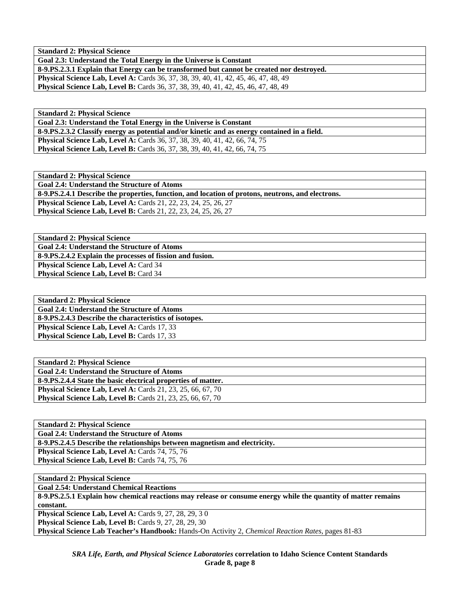**Standard 2: Physical Science** 

**Goal 2.3: Understand the Total Energy in the Universe is Constant** 

**8-9.PS.2.3.1 Explain that Energy can be transformed but cannot be created nor destroyed. Physical Science Lab, Level A:** Cards 36, 37, 38, 39, 40, 41, 42, 45, 46, 47, 48, 49

**Physical Science Lab, Level B:** Cards 36, 37, 38, 39, 40, 41, 42, 45, 46, 47, 48, 49

**Standard 2: Physical Science** 

**Goal 2.3: Understand the Total Energy in the Universe is Constant** 

**8-9.PS.2.3.2 Classify energy as potential and/or kinetic and as energy contained in a field.** 

**Physical Science Lab, Level A: Cards 36, 37, 38, 39, 40, 41, 42, 66, 74, 75 Physical Science Lab, Level B:** Cards 36, 37, 38, 39, 40, 41, 42, 66, 74, 75

**Standard 2: Physical Science Goal 2.4: Understand the Structure of Atoms 8-9.PS.2.4.1 Describe the properties, function, and location of protons, neutrons, and electrons. Physical Science Lab, Level A:** Cards 21, 22, 23, 24, 25, 26, 27 **Physical Science Lab, Level B:** Cards 21, 22, 23, 24, 25, 26, 27

**Standard 2: Physical Science Goal 2.4: Understand the Structure of Atoms 8-9.PS.2.4.2 Explain the processes of fission and fusion.**  Physical Science Lab, Level A: Card 34 **Physical Science Lab, Level B: Card 34** 

**Standard 2: Physical Science Goal 2.4: Understand the Structure of Atoms 8-9.PS.2.4.3 Describe the characteristics of isotopes. Physical Science Lab, Level A: Cards 17, 33 Physical Science Lab, Level B: Cards 17, 33** 

| <b>Standard 2: Physical Science</b>                                  |
|----------------------------------------------------------------------|
| <b>Goal 2.4: Understand the Structure of Atoms</b>                   |
| 8-9. PS. 2.4.4 State the basic electrical properties of matter.      |
| <b>Physical Science Lab, Level A:</b> Cards $21, 23, 25, 66, 67, 70$ |
| <b>Physical Science Lab, Level B:</b> Cards 21, 23, 25, 66, 67, 70   |

**Standard 2: Physical Science Goal 2.4: Understand the Structure of Atoms 8-9.PS.2.4.5 Describe the relationships between magnetism and electricity.**  Physical Science Lab, Level A: Cards 74, 75, 76 Physical Science Lab, Level B: Cards 74, 75, 76

**Standard 2: Physical Science** 

**Goal 2.54: Understand Chemical Reactions** 

**8-9.PS.2.5.1 Explain how chemical reactions may release or consume energy while the quantity of matter remains constant.** 

**Physical Science Lab, Level A: Cards 9, 27, 28, 29, 30 Physical Science Lab, Level B: Cards 9, 27, 28, 29, 30** 

**Physical Science Lab Teacher's Handbook:** Hands-On Activity 2, *Chemical Reaction Rates,* pages 81-83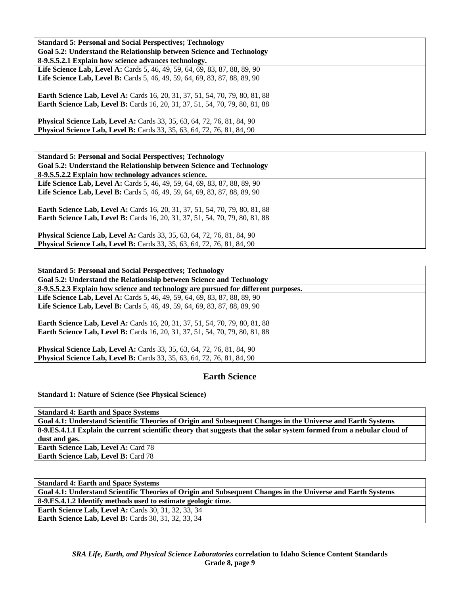| <b>Standard 5: Personal and Social Perspectives: Technology</b>                     |
|-------------------------------------------------------------------------------------|
| Goal 5.2: Understand the Relationship between Science and Technology                |
| 8-9.S.5.2.1 Explain how science advances technology.                                |
| <b>Life Science Lab, Level A:</b> Cards 5, 46, 49, 59, 64, 69, 83, 87, 88, 89, 90   |
| <b>Life Science Lab, Level B:</b> Cards 5, 46, 49, 59, 64, 69, 83, 87, 88, 89, 90   |
|                                                                                     |
| <b>Earth Science Lab, Level A:</b> Cards 16, 20, 31, 37, 51, 54, 70, 79, 80, 81, 88 |
| <b>Earth Science Lab, Level B:</b> Cards 16, 20, 31, 37, 51, 54, 70, 79, 80, 81, 88 |
|                                                                                     |
| <b>Physical Science Lab, Level A:</b> Cards 33, 35, 63, 64, 72, 76, 81, 84, 90      |
| <b>Physical Science Lab, Level B:</b> Cards 33, 35, 63, 64, 72, 76, 81, 84, 90      |

| <b>Standard 5: Personal and Social Perspectives; Technology</b>                     |
|-------------------------------------------------------------------------------------|
| Goal 5.2: Understand the Relationship between Science and Technology                |
| 8-9.S.5.2.2 Explain how technology advances science.                                |
| <b>Life Science Lab, Level A:</b> Cards 5, 46, 49, 59, 64, 69, 83, 87, 88, 89, 90   |
| Life Science Lab, Level B: Cards 5, 46, 49, 59, 64, 69, 83, 87, 88, 89, 90          |
|                                                                                     |
| <b>Earth Science Lab, Level A:</b> Cards 16, 20, 31, 37, 51, 54, 70, 79, 80, 81, 88 |
| <b>Earth Science Lab, Level B:</b> Cards 16, 20, 31, 37, 51, 54, 70, 79, 80, 81, 88 |
|                                                                                     |
| <b>Physical Science Lab, Level A: Cards 33, 35, 63, 64, 72, 76, 81, 84, 90</b>      |
| <b>Physical Science Lab, Level B:</b> Cards 33, 35, 63, 64, 72, 76, 81, 84, 90      |

| <b>Standard 5: Personal and Social Perspectives; Technology</b>                                                                                                     |
|---------------------------------------------------------------------------------------------------------------------------------------------------------------------|
| Goal 5.2: Understand the Relationship between Science and Technology                                                                                                |
| 8-9.S.5.2.3 Explain how science and technology are pursued for different purposes.                                                                                  |
| <b>Life Science Lab, Level A:</b> Cards 5, 46, 49, 59, 64, 69, 83, 87, 88, 89, 90                                                                                   |
| <b>Life Science Lab, Level B:</b> Cards 5, 46, 49, 59, 64, 69, 83, 87, 88, 89, 90                                                                                   |
| <b>Earth Science Lab, Level A:</b> Cards 16, 20, 31, 37, 51, 54, 70, 79, 80, 81, 88<br>Earth Science Lab, Level B: Cards 16, 20, 31, 37, 51, 54, 70, 79, 80, 81, 88 |
| <b>Physical Science Lab, Level A:</b> Cards 33, 35, 63, 64, 72, 76, 81, 84, 90                                                                                      |
| <b>Physical Science Lab, Level B:</b> Cards 33, 35, 63, 64, 72, 76, 81, 84, 90                                                                                      |

# **Earth Science**

**Standard 1: Nature of Science (See Physical Science)** 

| <b>Standard 4: Earth and Space Systems</b>                                                                            |
|-----------------------------------------------------------------------------------------------------------------------|
| Goal 4.1: Understand Scientific Theories of Origin and Subsequent Changes in the Universe and Earth Systems           |
| 8-9.ES.4.1.1 Explain the current scientific theory that suggests that the solar system formed from a nebular cloud of |
| dust and gas.                                                                                                         |
| <b>Earth Science Lab, Level A: Card 78</b>                                                                            |
| <b>Earth Science Lab, Level B: Card 78</b>                                                                            |

| <b>Standard 4: Earth and Space Systems</b>                                                                  |
|-------------------------------------------------------------------------------------------------------------|
| Goal 4.1: Understand Scientific Theories of Origin and Subsequent Changes in the Universe and Earth Systems |
| 8-9.ES.4.1.2 Identify methods used to estimate geologic time.                                               |
| <b>Earth Science Lab, Level A: Cards 30, 31, 32, 33, 34</b>                                                 |
| <b>Earth Science Lab, Level B:</b> Cards 30, 31, 32, 33, 34                                                 |